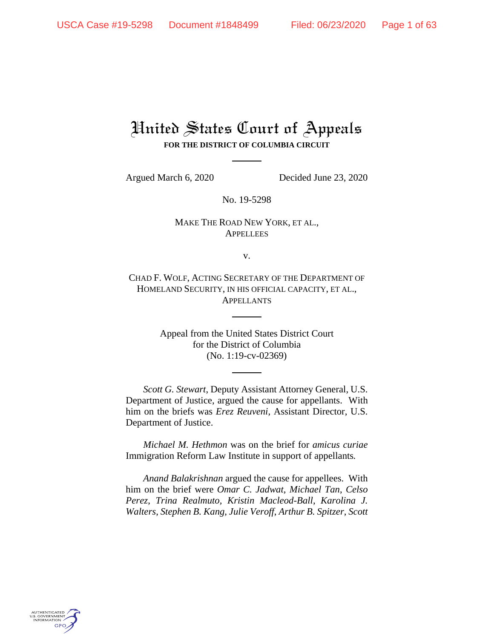# United States Court of Appeals **FOR THE DISTRICT OF COLUMBIA CIRCUIT**

Argued March 6, 2020 Decided June 23, 2020

No. 19-5298

# MAKE THE ROAD NEW YORK, ET AL., **APPELLEES**

v.

CHAD F. WOLF, ACTING SECRETARY OF THE DEPARTMENT OF HOMELAND SECURITY, IN HIS OFFICIAL CAPACITY, ET AL., APPELLANTS

> Appeal from the United States District Court for the District of Columbia (No. 1:19-cv-02369)

*Scott G. Stewart*, Deputy Assistant Attorney General, U.S. Department of Justice, argued the cause for appellants. With him on the briefs was *Erez Reuveni*, Assistant Director, U.S. Department of Justice.

*Michael M. Hethmon* was on the brief for *amicus curiae*  Immigration Reform Law Institute in support of appellants*.* 

*Anand Balakrishnan* argued the cause for appellees. With him on the brief were *Omar C. Jadwat*, *Michael Tan*, *Celso Perez*, *Trina Realmuto, Kristin Macleod-Ball*, *Karolina J. Walters*, *Stephen B. Kang*, *Julie Veroff*, *Arthur B. Spitzer*, *Scott* 

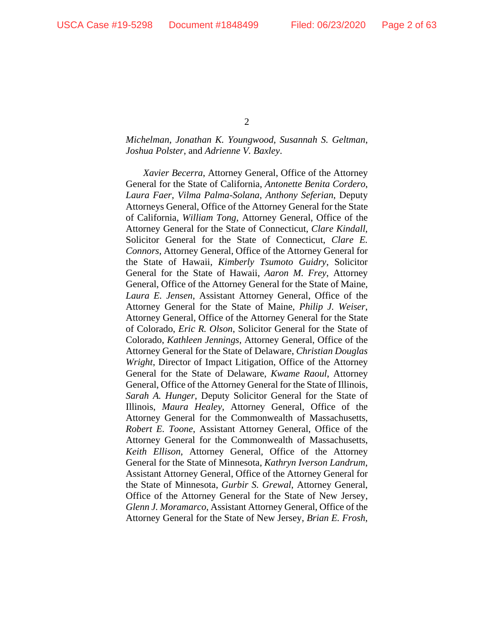# *Michelman*, *Jonathan K. Youngwood*, *Susannah S. Geltman*, *Joshua Polster*, and *Adrienne V. Baxley*.

*Xavier Becerra*, Attorney General, Office of the Attorney General for the State of California, *Antonette Benita Cordero*, *Laura Faer*, *Vilma Palma-Solana*, *Anthony Seferian*, Deputy Attorneys General, Office of the Attorney General for the State of California, *William Tong*, Attorney General, Office of the Attorney General for the State of Connecticut, *Clare Kindall*, Solicitor General for the State of Connecticut, *Clare E. Connors*, Attorney General, Office of the Attorney General for the State of Hawaii, *Kimberly Tsumoto Guidry*, Solicitor General for the State of Hawaii, *Aaron M. Frey*, Attorney General, Office of the Attorney General for the State of Maine, *Laura E. Jensen*, Assistant Attorney General, Office of the Attorney General for the State of Maine, *Philip J. Weiser*, Attorney General, Office of the Attorney General for the State of Colorado, *Eric R. Olson*, Solicitor General for the State of Colorado, *Kathleen Jennings*, Attorney General, Office of the Attorney General for the State of Delaware, *Christian Douglas Wright*, Director of Impact Litigation, Office of the Attorney General for the State of Delaware, *Kwame Raoul*, Attorney General, Office of the Attorney General for the State of Illinois, *Sarah A. Hunger*, Deputy Solicitor General for the State of Illinois, *Maura Healey*, Attorney General, Office of the Attorney General for the Commonwealth of Massachusetts, *Robert E. Toone*, Assistant Attorney General, Office of the Attorney General for the Commonwealth of Massachusetts, *Keith Ellison*, Attorney General, Office of the Attorney General for the State of Minnesota, *Kathryn Iverson Landrum*, Assistant Attorney General, Office of the Attorney General for the State of Minnesota, *Gurbir S. Grewal*, Attorney General, Office of the Attorney General for the State of New Jersey, *Glenn J. Moramarco*, Assistant Attorney General, Office of the Attorney General for the State of New Jersey, *Brian E. Frosh*,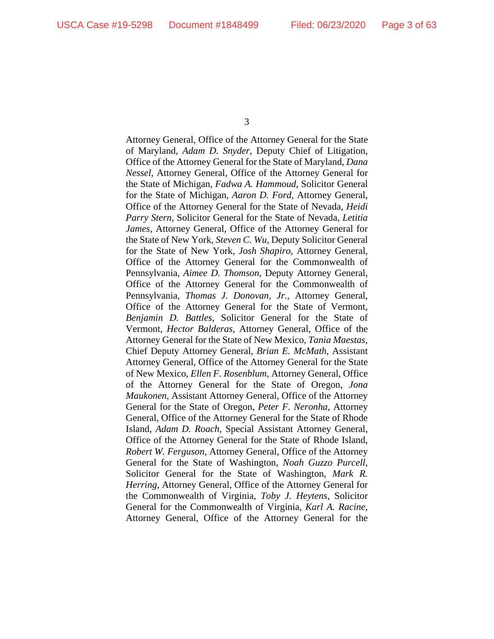Attorney General, Office of the Attorney General for the State of Maryland, *Adam D. Snyder*, Deputy Chief of Litigation, Office of the Attorney General for the State of Maryland, *Dana Nessel*, Attorney General, Office of the Attorney General for the State of Michigan, *Fadwa A. Hammoud*, Solicitor General for the State of Michigan, *Aaron D. Ford*, Attorney General, Office of the Attorney General for the State of Nevada, *Heidi Parry Stern*, Solicitor General for the State of Nevada, *Letitia James*, Attorney General, Office of the Attorney General for the State of New York, *Steven C. Wu*, Deputy Solicitor General for the State of New York, *Josh Shapiro*, Attorney General, Office of the Attorney General for the Commonwealth of Pennsylvania, *Aimee D. Thomson*, Deputy Attorney General, Office of the Attorney General for the Commonwealth of Pennsylvania, *Thomas J. Donovan*, *Jr.*, Attorney General, Office of the Attorney General for the State of Vermont, *Benjamin D. Battles*, Solicitor General for the State of Vermont, *Hector Balderas*, Attorney General, Office of the Attorney General for the State of New Mexico, *Tania Maestas*, Chief Deputy Attorney General, *Brian E. McMath*, Assistant Attorney General, Office of the Attorney General for the State of New Mexico, *Ellen F. Rosenblum*, Attorney General, Office of the Attorney General for the State of Oregon, *Jona Maukonen*, Assistant Attorney General, Office of the Attorney General for the State of Oregon, *Peter F. Neronha*, Attorney General, Office of the Attorney General for the State of Rhode Island, *Adam D. Roach*, Special Assistant Attorney General, Office of the Attorney General for the State of Rhode Island, *Robert W. Ferguson*, Attorney General, Office of the Attorney General for the State of Washington, *Noah Guzzo Purcell*, Solicitor General for the State of Washington, *Mark R. Herring*, Attorney General, Office of the Attorney General for the Commonwealth of Virginia, *Toby J. Heytens*, Solicitor General for the Commonwealth of Virginia, *Karl A. Racine*, Attorney General, Office of the Attorney General for the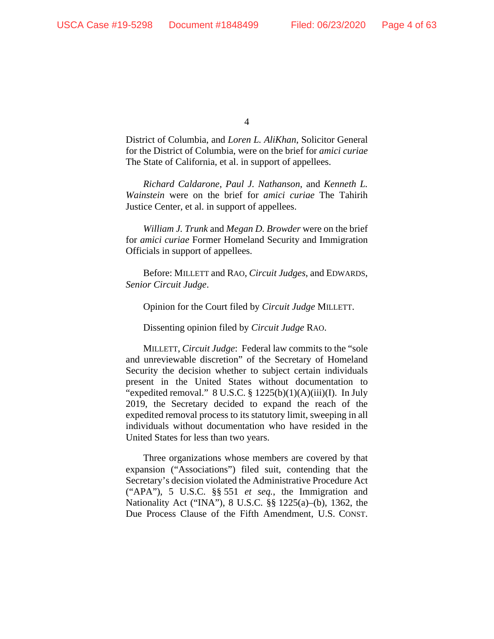District of Columbia, and *Loren L. AliKhan*, Solicitor General for the District of Columbia, were on the brief for *amici curiae* The State of California, et al. in support of appellees.

*Richard Caldarone*, *Paul J. Nathanson*, and *Kenneth L. Wainstein* were on the brief for *amici curiae* The Tahirih Justice Center, et al. in support of appellees.

*William J. Trunk* and *Megan D. Browder* were on the brief for *amici curiae* Former Homeland Security and Immigration Officials in support of appellees.

Before: MILLETT and RAO, *Circuit Judges*, and EDWARDS, *Senior Circuit Judge*.

Opinion for the Court filed by *Circuit Judge* MILLETT.

Dissenting opinion filed by *Circuit Judge* RAO.

MILLETT, *Circuit Judge*: Federal law commits to the "sole and unreviewable discretion" of the Secretary of Homeland Security the decision whether to subject certain individuals present in the United States without documentation to "expedited removal." 8 U.S.C. §  $1225(b)(1)(A)(iii)(I)$ . In July 2019, the Secretary decided to expand the reach of the expedited removal process to its statutory limit, sweeping in all individuals without documentation who have resided in the United States for less than two years.

Three organizations whose members are covered by that expansion ("Associations") filed suit, contending that the Secretary's decision violated the Administrative Procedure Act ("APA"), 5 U.S.C. §§ 551 *et seq.*, the Immigration and Nationality Act ("INA"), 8 U.S.C. §§ 1225(a)–(b), 1362, the Due Process Clause of the Fifth Amendment, U.S. CONST.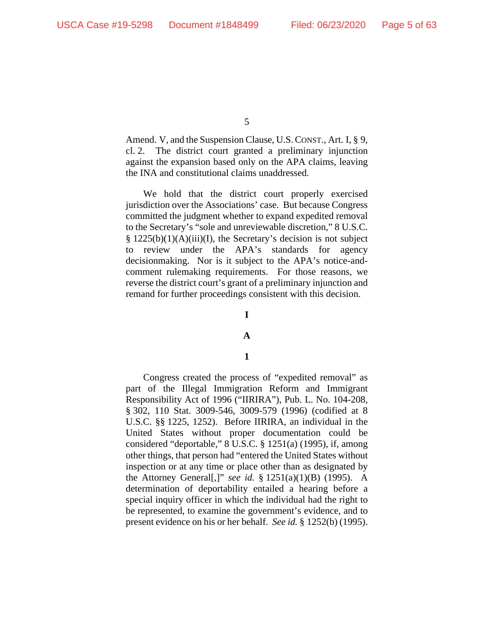Amend. V, and the Suspension Clause, U.S.CONST., Art. I, § 9, cl. 2. The district court granted a preliminary injunction against the expansion based only on the APA claims, leaving the INA and constitutional claims unaddressed.

We hold that the district court properly exercised jurisdiction over the Associations' case. But because Congress committed the judgment whether to expand expedited removal to the Secretary's "sole and unreviewable discretion," 8 U.S.C. § 1225(b)(1)(A)(iii)(I), the Secretary's decision is not subject to review under the APA's standards for agency decisionmaking. Nor is it subject to the APA's notice-andcomment rulemaking requirements. For those reasons, we reverse the district court's grant of a preliminary injunction and remand for further proceedings consistent with this decision.

#### **I**

### **A**

### **1**

Congress created the process of "expedited removal" as part of the Illegal Immigration Reform and Immigrant Responsibility Act of 1996 ("IIRIRA"), Pub. L. No. 104-208, § 302, 110 Stat. 3009-546, 3009-579 (1996) (codified at 8 U.S.C. §§ 1225, 1252). Before IIRIRA, an individual in the United States without proper documentation could be considered "deportable," 8 U.S.C. § 1251(a) (1995), if, among other things, that person had "entered the United States without inspection or at any time or place other than as designated by the Attorney General[,]" *see id.* § 1251(a)(1)(B) (1995). A determination of deportability entailed a hearing before a special inquiry officer in which the individual had the right to be represented, to examine the government's evidence, and to present evidence on his or her behalf. *See id.* § 1252(b) (1995).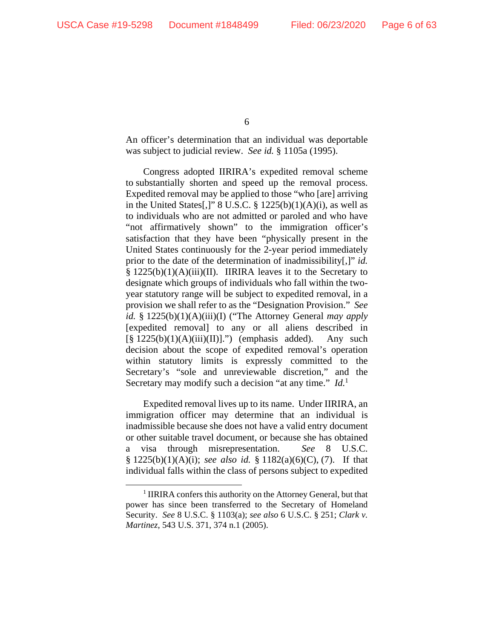An officer's determination that an individual was deportable was subject to judicial review. *See id.* § 1105a (1995).

Congress adopted IIRIRA's expedited removal scheme to substantially shorten and speed up the removal process. Expedited removal may be applied to those "who [are] arriving in the United States[,]"  $8$  U.S.C.  $\S$  1225(b)(1)(A)(i), as well as to individuals who are not admitted or paroled and who have "not affirmatively shown" to the immigration officer's satisfaction that they have been "physically present in the United States continuously for the 2-year period immediately prior to the date of the determination of inadmissibility[,]" *id.* § 1225(b)(1)(A)(iii)(II). IIRIRA leaves it to the Secretary to designate which groups of individuals who fall within the twoyear statutory range will be subject to expedited removal, in a provision we shall refer to as the "Designation Provision." *See id.* § 1225(b)(1)(A)(iii)(I) ("The Attorney General *may apply* [expedited removal] to any or all aliens described in  $[\S 1225(b)(1)(A)(iii)(II)].$ ") (emphasis added). Any such decision about the scope of expedited removal's operation within statutory limits is expressly committed to the Secretary's "sole and unreviewable discretion," and the Secretary may modify such a decision "at any time." *Id.*<sup>1</sup>

Expedited removal lives up to its name. Under IIRIRA, an immigration officer may determine that an individual is inadmissible because she does not have a valid entry document or other suitable travel document, or because she has obtained a visa through misrepresentation. *See* 8 U.S.C. § 1225(b)(1)(A)(i); *see also id.* § 1182(a)(6)(C), (7). If that individual falls within the class of persons subject to expedited

<sup>&</sup>lt;sup>1</sup> IIRIRA confers this authority on the Attorney General, but that power has since been transferred to the Secretary of Homeland Security. *See* 8 U.S.C. § 1103(a); *see also* 6 U.S.C. § 251; *Clark v. Martinez*, 543 U.S. 371, 374 n.1 (2005).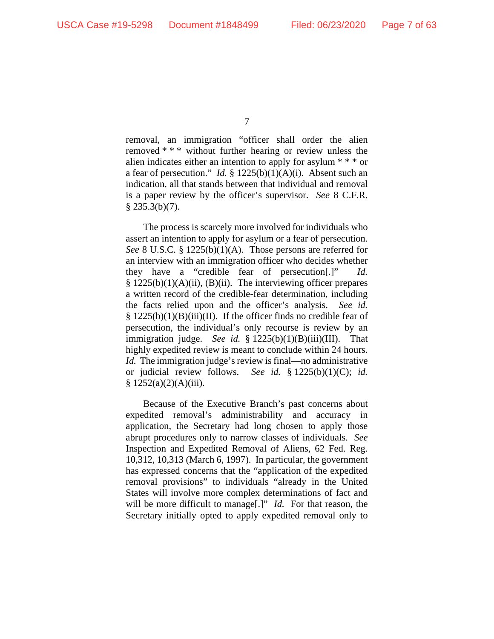removal, an immigration "officer shall order the alien removed \* \* \* without further hearing or review unless the alien indicates either an intention to apply for asylum \* \* \* or a fear of persecution." *Id.* § 1225(b)(1)(A)(i). Absent such an indication, all that stands between that individual and removal is a paper review by the officer's supervisor. *See* 8 C.F.R.  $§$  235.3(b)(7).

The process is scarcely more involved for individuals who assert an intention to apply for asylum or a fear of persecution. *See* 8 U.S.C. § 1225(b)(1)(A). Those persons are referred for an interview with an immigration officer who decides whether they have a "credible fear of persecution[.]" *Id.*  $§ 1225(b)(1)(A)(ii)$ , (B)(ii). The interviewing officer prepares a written record of the credible-fear determination, including the facts relied upon and the officer's analysis. *See id.*  $§$  1225(b)(1)(B)(iii)(II). If the officer finds no credible fear of persecution, the individual's only recourse is review by an immigration judge. *See id.* § 1225(b)(1)(B)(iii)(III). That highly expedited review is meant to conclude within 24 hours. *Id.* The immigration judge's review is final—no administrative or judicial review follows. *See id.* § 1225(b)(1)(C); *id.*  § 1252(a)(2)(A)(iii).

Because of the Executive Branch's past concerns about expedited removal's administrability and accuracy in application, the Secretary had long chosen to apply those abrupt procedures only to narrow classes of individuals. *See*  Inspection and Expedited Removal of Aliens, 62 Fed. Reg. 10,312, 10,313 (March 6, 1997). In particular, the government has expressed concerns that the "application of the expedited removal provisions" to individuals "already in the United States will involve more complex determinations of fact and will be more difficult to manage<sup>[1]</sup> *Id.* For that reason, the Secretary initially opted to apply expedited removal only to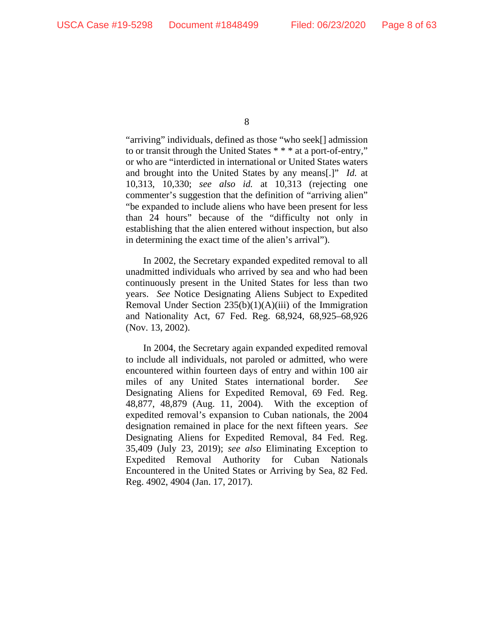"arriving" individuals, defined as those "who seek[] admission to or transit through the United States \* \* \* at a port-of-entry," or who are "interdicted in international or United States waters and brought into the United States by any means[.]" *Id.* at 10,313, 10,330; *see also id.* at 10,313 (rejecting one commenter's suggestion that the definition of "arriving alien" "be expanded to include aliens who have been present for less than 24 hours" because of the "difficulty not only in establishing that the alien entered without inspection, but also in determining the exact time of the alien's arrival").

In 2002, the Secretary expanded expedited removal to all unadmitted individuals who arrived by sea and who had been continuously present in the United States for less than two years. *See* Notice Designating Aliens Subject to Expedited Removal Under Section  $235(b)(1)(A)(iii)$  of the Immigration and Nationality Act, 67 Fed. Reg. 68,924, 68,925–68,926 (Nov. 13, 2002).

In 2004, the Secretary again expanded expedited removal to include all individuals, not paroled or admitted, who were encountered within fourteen days of entry and within 100 air miles of any United States international border. *See* Designating Aliens for Expedited Removal, 69 Fed. Reg. 48,877, 48,879 (Aug. 11, 2004). With the exception of expedited removal's expansion to Cuban nationals, the 2004 designation remained in place for the next fifteen years. *See* Designating Aliens for Expedited Removal, 84 Fed. Reg. 35,409 (July 23, 2019); *see also* Eliminating Exception to Expedited Removal Authority for Cuban Nationals Encountered in the United States or Arriving by Sea, 82 Fed. Reg. 4902, 4904 (Jan. 17, 2017).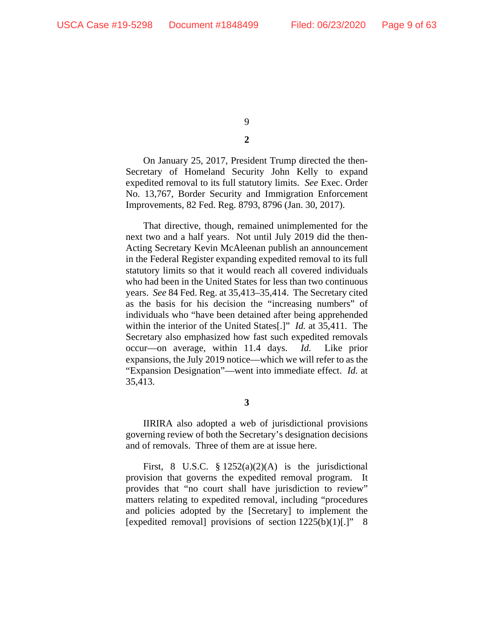**2** 

On January 25, 2017, President Trump directed the then-Secretary of Homeland Security John Kelly to expand expedited removal to its full statutory limits. *See* Exec. Order No. 13,767, Border Security and Immigration Enforcement Improvements, 82 Fed. Reg. 8793, 8796 (Jan. 30, 2017).

That directive, though, remained unimplemented for the next two and a half years. Not until July 2019 did the then-Acting Secretary Kevin McAleenan publish an announcement in the Federal Register expanding expedited removal to its full statutory limits so that it would reach all covered individuals who had been in the United States for less than two continuous years. *See* 84 Fed. Reg. at 35,413–35,414. The Secretary cited as the basis for his decision the "increasing numbers" of individuals who "have been detained after being apprehended within the interior of the United States[.]" *Id.* at 35,411. The Secretary also emphasized how fast such expedited removals occur—on average, within 11.4 days. *Id.* Like prior expansions, the July 2019 notice—which we will refer to as the "Expansion Designation"—went into immediate effect. *Id.* at 35,413.

**3** 

IIRIRA also adopted a web of jurisdictional provisions governing review of both the Secretary's designation decisions and of removals. Three of them are at issue here.

First, 8 U.S.C.  $\S 1252(a)(2)(A)$  is the jurisdictional provision that governs the expedited removal program. It provides that "no court shall have jurisdiction to review" matters relating to expedited removal, including "procedures and policies adopted by the [Secretary] to implement the [expedited removal] provisions of section  $1225(b)(1)[.]$ " 8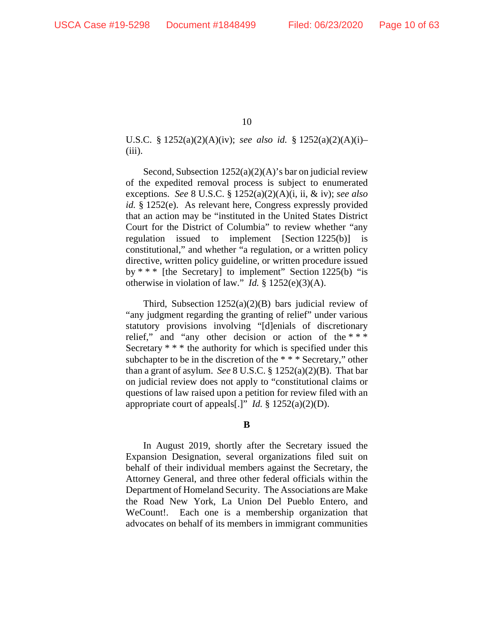U.S.C. § 1252(a)(2)(A)(iv); *see also id.* § 1252(a)(2)(A)(i)–  $(iii)$ .

Second, Subsection 1252(a)(2)(A)'s bar on judicial review of the expedited removal process is subject to enumerated exceptions. *See* 8 U.S.C. § 1252(a)(2)(A)(i, ii, & iv); *see also id.* § 1252(e). As relevant here, Congress expressly provided that an action may be "instituted in the United States District Court for the District of Columbia" to review whether "any regulation issued to implement  $[Section 1225(b)]$ constitutional," and whether "a regulation, or a written policy directive, written policy guideline, or written procedure issued by  $***$  [the Secretary] to implement" Section 1225(b) "is otherwise in violation of law." *Id.* § 1252(e)(3)(A).

Third, Subsection  $1252(a)(2)(B)$  bars judicial review of "any judgment regarding the granting of relief" under various statutory provisions involving "[d]enials of discretionary relief," and "any other decision or action of the  $***$ Secretary  $***$  the authority for which is specified under this subchapter to be in the discretion of the \* \* \* Secretary," other than a grant of asylum. *See* 8 U.S.C. § 1252(a)(2)(B). That bar on judicial review does not apply to "constitutional claims or questions of law raised upon a petition for review filed with an appropriate court of appeals[.]" *Id.* § 1252(a)(2)(D).

**B** 

In August 2019, shortly after the Secretary issued the Expansion Designation, several organizations filed suit on behalf of their individual members against the Secretary, the Attorney General, and three other federal officials within the Department of Homeland Security. The Associations are Make the Road New York, La Union Del Pueblo Entero, and WeCount!. Each one is a membership organization that advocates on behalf of its members in immigrant communities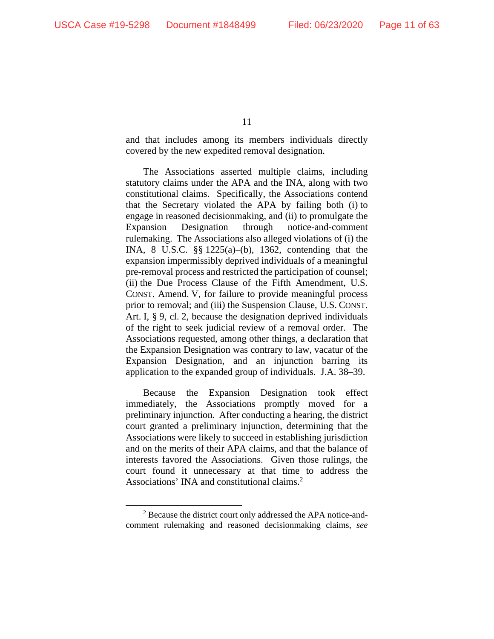and that includes among its members individuals directly covered by the new expedited removal designation.

The Associations asserted multiple claims, including statutory claims under the APA and the INA, along with two constitutional claims. Specifically, the Associations contend that the Secretary violated the APA by failing both (i) to engage in reasoned decisionmaking, and (ii) to promulgate the Expansion Designation through notice-and-comment rulemaking. The Associations also alleged violations of (i) the INA, 8 U.S.C. §§ 1225(a)–(b), 1362, contending that the expansion impermissibly deprived individuals of a meaningful pre-removal process and restricted the participation of counsel; (ii) the Due Process Clause of the Fifth Amendment, U.S. CONST. Amend. V, for failure to provide meaningful process prior to removal; and (iii) the Suspension Clause, U.S. CONST. Art. I, § 9, cl. 2, because the designation deprived individuals of the right to seek judicial review of a removal order. The Associations requested, among other things, a declaration that the Expansion Designation was contrary to law, vacatur of the Expansion Designation, and an injunction barring its application to the expanded group of individuals. J.A. 38–39.

Because the Expansion Designation took effect immediately, the Associations promptly moved for a preliminary injunction. After conducting a hearing, the district court granted a preliminary injunction, determining that the Associations were likely to succeed in establishing jurisdiction and on the merits of their APA claims, and that the balance of interests favored the Associations. Given those rulings, the court found it unnecessary at that time to address the Associations' INA and constitutional claims.<sup>2</sup>

<sup>&</sup>lt;sup>2</sup> Because the district court only addressed the APA notice-andcomment rulemaking and reasoned decisionmaking claims, *see*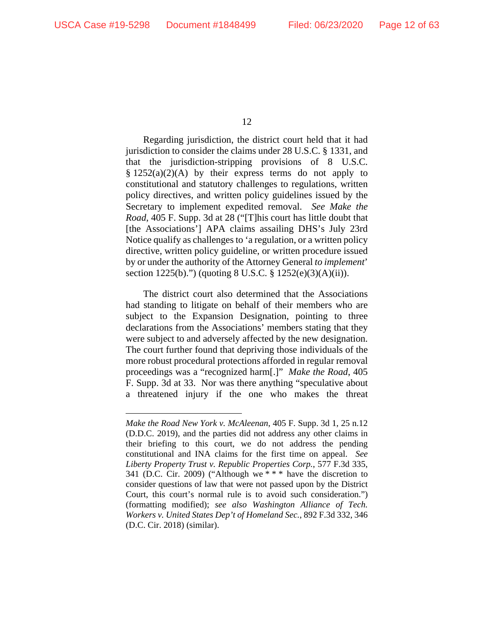Regarding jurisdiction, the district court held that it had jurisdiction to consider the claims under 28 U.S.C. § 1331, and that the jurisdiction-stripping provisions of 8 U.S.C.  $§ 1252(a)(2)(A)$  by their express terms do not apply to constitutional and statutory challenges to regulations, written policy directives, and written policy guidelines issued by the Secretary to implement expedited removal. *See Make the Road*, 405 F. Supp. 3d at 28 ("[T]his court has little doubt that [the Associations'] APA claims assailing DHS's July 23rd Notice qualify as challenges to 'a regulation, or a written policy directive, written policy guideline, or written procedure issued by or under the authority of the Attorney General *to implement*' section 1225(b).") (quoting 8 U.S.C. § 1252(e)(3)(A)(ii)).

The district court also determined that the Associations had standing to litigate on behalf of their members who are subject to the Expansion Designation, pointing to three declarations from the Associations' members stating that they were subject to and adversely affected by the new designation. The court further found that depriving those individuals of the more robust procedural protections afforded in regular removal proceedings was a "recognized harm[.]" *Make the Road*, 405 F. Supp. 3d at 33. Nor was there anything "speculative about a threatened injury if the one who makes the threat

*Make the Road New York v. McAleenan*, 405 F. Supp. 3d 1, 25 n.12 (D.D.C. 2019), and the parties did not address any other claims in their briefing to this court, we do not address the pending constitutional and INA claims for the first time on appeal. *See Liberty Property Trust v. Republic Properties Corp.*, 577 F.3d 335, 341 (D.C. Cir. 2009) ("Although we  $**$  \* have the discretion to consider questions of law that were not passed upon by the District Court, this court's normal rule is to avoid such consideration.") (formatting modified); *see also Washington Alliance of Tech. Workers v. United States Dep't of Homeland Sec.*, 892 F.3d 332, 346 (D.C. Cir. 2018) (similar).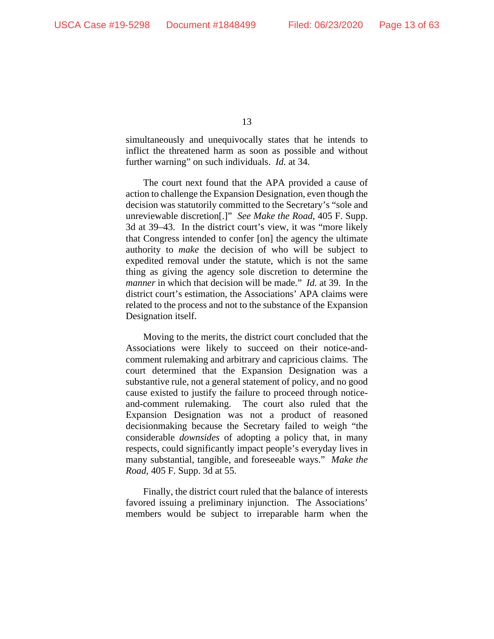simultaneously and unequivocally states that he intends to inflict the threatened harm as soon as possible and without further warning" on such individuals. *Id.* at 34.

The court next found that the APA provided a cause of action to challenge the Expansion Designation, even though the decision was statutorily committed to the Secretary's "sole and unreviewable discretion[.]" *See Make the Road*, 405 F. Supp. 3d at 39–43. In the district court's view, it was "more likely that Congress intended to confer [on] the agency the ultimate authority to *make* the decision of who will be subject to expedited removal under the statute, which is not the same thing as giving the agency sole discretion to determine the *manner* in which that decision will be made*.*" *Id.* at 39. In the district court's estimation, the Associations' APA claims were related to the process and not to the substance of the Expansion Designation itself.

Moving to the merits, the district court concluded that the Associations were likely to succeed on their notice-andcomment rulemaking and arbitrary and capricious claims. The court determined that the Expansion Designation was a substantive rule, not a general statement of policy, and no good cause existed to justify the failure to proceed through noticeand-comment rulemaking. The court also ruled that the Expansion Designation was not a product of reasoned decisionmaking because the Secretary failed to weigh "the considerable *downsides* of adopting a policy that, in many respects, could significantly impact people's everyday lives in many substantial, tangible, and foreseeable ways." *Make the Road*, 405 F. Supp. 3d at 55.

Finally, the district court ruled that the balance of interests favored issuing a preliminary injunction. The Associations' members would be subject to irreparable harm when the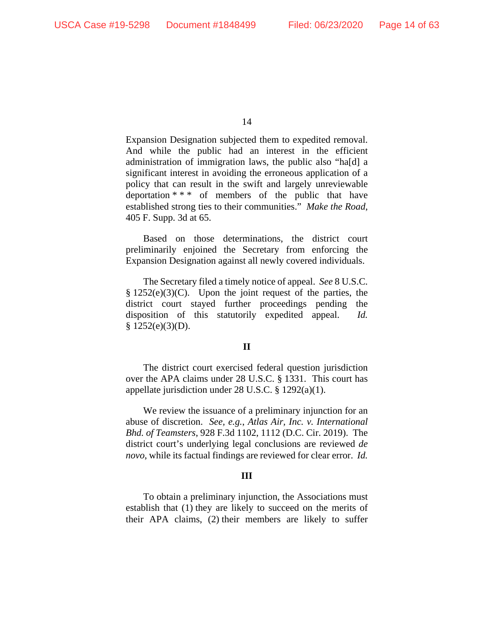Expansion Designation subjected them to expedited removal. And while the public had an interest in the efficient administration of immigration laws, the public also "ha[d] a significant interest in avoiding the erroneous application of a policy that can result in the swift and largely unreviewable deportation \* \* \* of members of the public that have established strong ties to their communities." *Make the Road*, 405 F. Supp. 3d at 65.

Based on those determinations, the district court preliminarily enjoined the Secretary from enforcing the Expansion Designation against all newly covered individuals.

The Secretary filed a timely notice of appeal. *See* 8 U.S.C.  $§ 1252(e)(3)(C)$ . Upon the joint request of the parties, the district court stayed further proceedings pending the disposition of this statutorily expedited appeal. *Id.*  $$ 1252(e)(3)(D).$ 

### **II**

The district court exercised federal question jurisdiction over the APA claims under 28 U.S.C. § 1331. This court has appellate jurisdiction under 28 U.S.C. § 1292(a)(1).

We review the issuance of a preliminary injunction for an abuse of discretion. *See, e.g.*, *Atlas Air, Inc. v. International Bhd. of Teamsters*, 928 F.3d 1102, 1112 (D.C. Cir. 2019). The district court's underlying legal conclusions are reviewed *de novo*, while its factual findings are reviewed for clear error. *Id.*

### **III**

To obtain a preliminary injunction, the Associations must establish that (1) they are likely to succeed on the merits of their APA claims, (2) their members are likely to suffer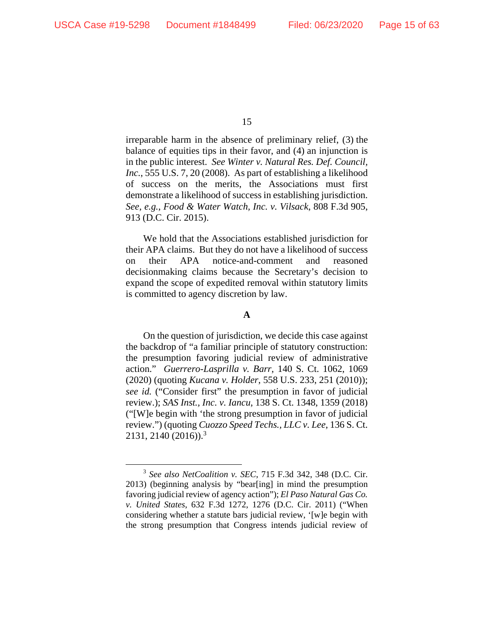irreparable harm in the absence of preliminary relief, (3) the balance of equities tips in their favor, and (4) an injunction is in the public interest. *See Winter v. Natural Res. Def. Council, Inc.*, 555 U.S. 7, 20 (2008). As part of establishing a likelihood of success on the merits, the Associations must first demonstrate a likelihood of success in establishing jurisdiction. *See, e.g.*, *Food & Water Watch, Inc. v. Vilsack*, 808 F.3d 905, 913 (D.C. Cir. 2015).

We hold that the Associations established jurisdiction for their APA claims. But they do not have a likelihood of success on their APA notice-and-comment and reasoned decisionmaking claims because the Secretary's decision to expand the scope of expedited removal within statutory limits is committed to agency discretion by law.

### **A**

On the question of jurisdiction, we decide this case against the backdrop of "a familiar principle of statutory construction: the presumption favoring judicial review of administrative action." *Guerrero-Lasprilla v. Barr*, 140 S. Ct. 1062, 1069 (2020) (quoting *Kucana v. Holder*, 558 U.S. 233, 251 (2010)); *see id.* ("Consider first" the presumption in favor of judicial review.); *SAS Inst., Inc. v. Iancu*, 138 S. Ct. 1348, 1359 (2018) ("[W]e begin with 'the strong presumption in favor of judicial review.") (quoting *Cuozzo Speed Techs., LLC v. Lee*, 136 S. Ct. 2131, 2140 (2016)).3

<sup>3</sup> *See also NetCoalition v. SEC*, 715 F.3d 342, 348 (D.C. Cir. 2013) (beginning analysis by "bear[ing] in mind the presumption favoring judicial review of agency action"); *El Paso Natural Gas Co. v. United States*, 632 F.3d 1272, 1276 (D.C. Cir. 2011) ("When considering whether a statute bars judicial review, '[w]e begin with the strong presumption that Congress intends judicial review of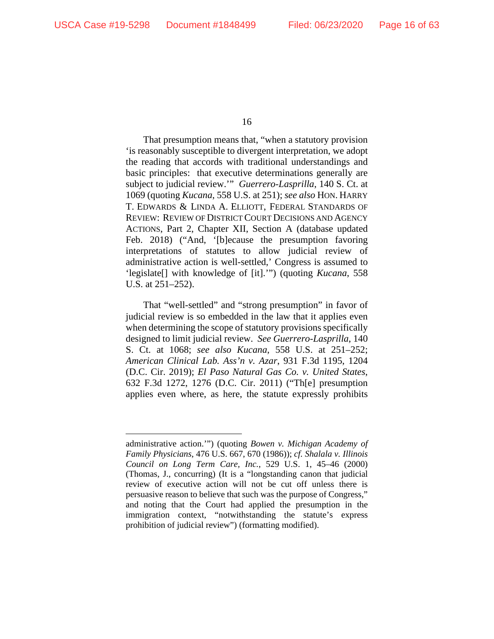That presumption means that, "when a statutory provision 'is reasonably susceptible to divergent interpretation, we adopt the reading that accords with traditional understandings and basic principles: that executive determinations generally are subject to judicial review.'" *Guerrero-Lasprilla*, 140 S. Ct. at 1069 (quoting *Kucana*, 558 U.S. at 251); *see also* HON. HARRY T. EDWARDS & LINDA A. ELLIOTT, FEDERAL STANDARDS OF REVIEW: REVIEW OF DISTRICT COURT DECISIONS AND AGENCY ACTIONS, Part 2, Chapter XII, Section A (database updated Feb. 2018) ("And, '[b]ecause the presumption favoring interpretations of statutes to allow judicial review of administrative action is well-settled,' Congress is assumed to 'legislate[] with knowledge of [it].'") (quoting *Kucana*, 558 U.S. at 251–252).

That "well-settled" and "strong presumption" in favor of judicial review is so embedded in the law that it applies even when determining the scope of statutory provisions specifically designed to limit judicial review. *See Guerrero-Lasprilla*, 140 S. Ct. at 1068; *see also Kucana*, 558 U.S. at 251–252; *American Clinical Lab. Ass'n v. Azar*, 931 F.3d 1195, 1204 (D.C. Cir. 2019); *El Paso Natural Gas Co. v. United States*, 632 F.3d 1272, 1276 (D.C. Cir. 2011) ("Th[e] presumption applies even where, as here, the statute expressly prohibits

administrative action.'") (quoting *Bowen v. Michigan Academy of Family Physicians*, 476 U.S. 667, 670 (1986)); *cf. Shalala v. Illinois Council on Long Term Care, Inc.*, 529 U.S. 1, 45–46 (2000) (Thomas, J., concurring) (It is a "longstanding canon that judicial review of executive action will not be cut off unless there is persuasive reason to believe that such was the purpose of Congress," and noting that the Court had applied the presumption in the immigration context, "notwithstanding the statute's express prohibition of judicial review") (formatting modified).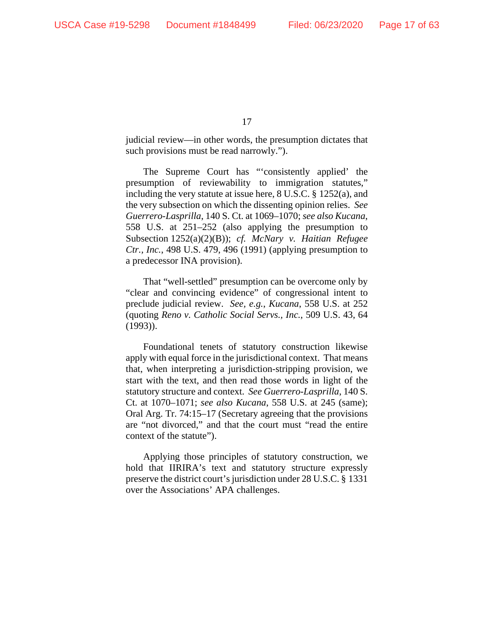judicial review—in other words, the presumption dictates that such provisions must be read narrowly.").

The Supreme Court has "'consistently applied' the presumption of reviewability to immigration statutes," including the very statute at issue here, 8 U.S.C. § 1252(a), and the very subsection on which the dissenting opinion relies. *See Guerrero-Lasprilla*, 140 S. Ct. at 1069–1070; *see also Kucana*, 558 U.S. at 251–252 (also applying the presumption to Subsection 1252(a)(2)(B)); *cf. McNary v. Haitian Refugee Ctr., Inc.*, 498 U.S. 479, 496 (1991) (applying presumption to a predecessor INA provision).

That "well-settled" presumption can be overcome only by "clear and convincing evidence" of congressional intent to preclude judicial review. *See, e.g.*, *Kucana*, 558 U.S. at 252 (quoting *Reno v. Catholic Social Servs., Inc.*, 509 U.S. 43, 64 (1993)).

Foundational tenets of statutory construction likewise apply with equal force in the jurisdictional context. That means that, when interpreting a jurisdiction-stripping provision, we start with the text, and then read those words in light of the statutory structure and context. *See Guerrero-Lasprilla*, 140 S. Ct. at 1070–1071; *see also Kucana*, 558 U.S. at 245 (same); Oral Arg. Tr. 74:15–17 (Secretary agreeing that the provisions are "not divorced," and that the court must "read the entire context of the statute").

Applying those principles of statutory construction, we hold that IIRIRA's text and statutory structure expressly preserve the district court's jurisdiction under 28 U.S.C. § 1331 over the Associations' APA challenges.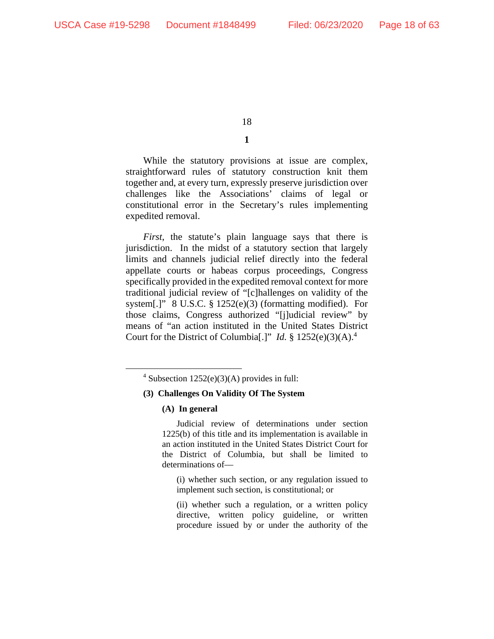# **1**

While the statutory provisions at issue are complex, straightforward rules of statutory construction knit them together and, at every turn, expressly preserve jurisdiction over challenges like the Associations' claims of legal or constitutional error in the Secretary's rules implementing expedited removal.

*First*, the statute's plain language says that there is jurisdiction. In the midst of a statutory section that largely limits and channels judicial relief directly into the federal appellate courts or habeas corpus proceedings, Congress specifically provided in the expedited removal context for more traditional judicial review of "[c]hallenges on validity of the system[.]" 8 U.S.C. § 1252(e)(3) (formatting modified). For those claims, Congress authorized "[j]udicial review" by means of "an action instituted in the United States District Court for the District of Columbia<sup>[.]"</sup> *Id.* § 1252 $(e)(3)(A)$ .<sup>4</sup>

### **(3) Challenges On Validity Of The System**

#### **(A) In general**

Judicial review of determinations under section 1225(b) of this title and its implementation is available in an action instituted in the United States District Court for the District of Columbia, but shall be limited to determinations of—

(i) whether such section, or any regulation issued to implement such section, is constitutional; or

(ii) whether such a regulation, or a written policy directive, written policy guideline, or written procedure issued by or under the authority of the

<sup>&</sup>lt;sup>4</sup> Subsection  $1252(e)(3)(A)$  provides in full: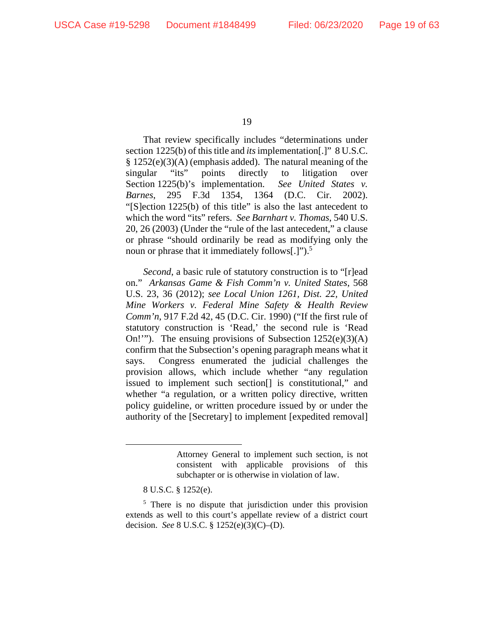That review specifically includes "determinations under section 1225(b) of this title and *its* implementation[.]" 8 U.S.C. § 1252(e)(3)(A) (emphasis added). The natural meaning of the singular "its" points directly to litigation over Section 1225(b)'s implementation. *See United States v. Barnes*, 295 F.3d 1354, 1364 (D.C. Cir. 2002). "[S]ection 1225(b) of this title" is also the last antecedent to which the word "its" refers. *See Barnhart v. Thomas*, 540 U.S. 20, 26 (2003) (Under the "rule of the last antecedent," a clause or phrase "should ordinarily be read as modifying only the noun or phrase that it immediately follows[.]").<sup>5</sup>

*Second*, a basic rule of statutory construction is to "[r]ead on." *Arkansas Game & Fish Comm'n v. United States*, 568 U.S. 23, 36 (2012); *see Local Union 1261, Dist. 22, United Mine Workers v. Federal Mine Safety & Health Review Comm'n*, 917 F.2d 42, 45 (D.C. Cir. 1990) ("If the first rule of statutory construction is 'Read,' the second rule is 'Read On!"). The ensuing provisions of Subsection  $1252(e)(3)(A)$ confirm that the Subsection's opening paragraph means what it says. Congress enumerated the judicial challenges the provision allows, which include whether "any regulation issued to implement such section[] is constitutional," and whether "a regulation, or a written policy directive, written policy guideline, or written procedure issued by or under the authority of the [Secretary] to implement [expedited removal]

Attorney General to implement such section, is not consistent with applicable provisions of this subchapter or is otherwise in violation of law.

<sup>8</sup> U.S.C. § 1252(e).

<sup>&</sup>lt;sup>5</sup> There is no dispute that jurisdiction under this provision extends as well to this court's appellate review of a district court decision. *See* 8 U.S.C. § 1252(e)(3)(C)–(D).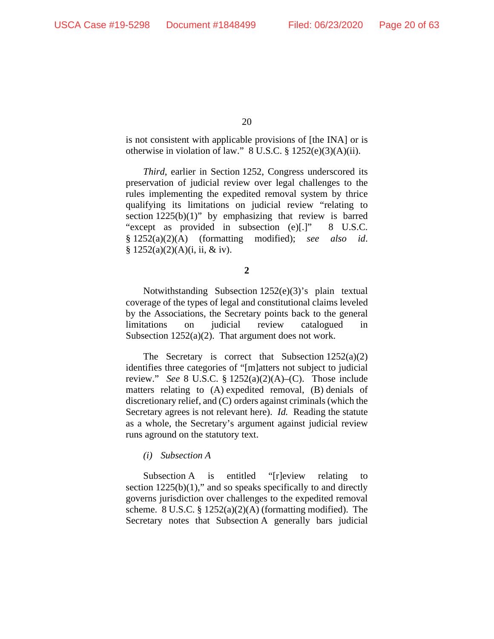is not consistent with applicable provisions of [the INA] or is otherwise in violation of law." 8 U.S.C. § 1252(e)(3)(A)(ii).

*Third*, earlier in Section 1252, Congress underscored its preservation of judicial review over legal challenges to the rules implementing the expedited removal system by thrice qualifying its limitations on judicial review "relating to section  $1225(b)(1)$ " by emphasizing that review is barred "except as provided in subsection (e)[.]" 8 U.S.C. § 1252(a)(2)(A) (formatting modified); *see also id*. §  $1252(a)(2)(A)(i, ii, &iv).$ 

Notwithstanding Subsection 1252(e)(3)'s plain textual coverage of the types of legal and constitutional claims leveled by the Associations, the Secretary points back to the general limitations on judicial review catalogued in Subsection  $1252(a)(2)$ . That argument does not work.

The Secretary is correct that Subsection  $1252(a)(2)$ identifies three categories of "[m]atters not subject to judicial review." *See* 8 U.S.C. § 1252(a)(2)(A)–(C). Those include matters relating to (A) expedited removal, (B) denials of discretionary relief, and (C) orders against criminals (which the Secretary agrees is not relevant here). *Id.* Reading the statute as a whole, the Secretary's argument against judicial review runs aground on the statutory text.

### *(i) Subsection A*

Subsection A is entitled "[r]eview relating to section  $1225(b)(1)$ ," and so speaks specifically to and directly governs jurisdiction over challenges to the expedited removal scheme. 8 U.S.C. § 1252(a)(2)(A) (formatting modified). The Secretary notes that Subsection A generally bars judicial

**<sup>2</sup>**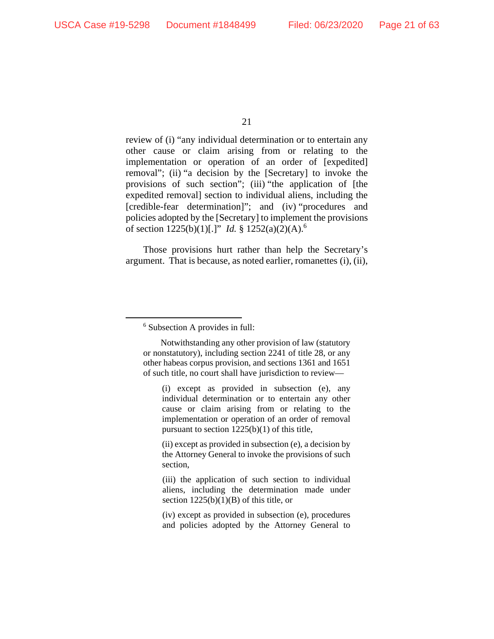review of (i) "any individual determination or to entertain any other cause or claim arising from or relating to the implementation or operation of an order of [expedited] removal"; (ii) "a decision by the [Secretary] to invoke the provisions of such section"; (iii) "the application of [the expedited removal] section to individual aliens, including the [credible-fear determination]"; and (iv) "procedures and policies adopted by the [Secretary] to implement the provisions of section 1225(b)(1)[.]" *Id.* § 1252(a)(2)(A).6

Those provisions hurt rather than help the Secretary's argument. That is because, as noted earlier, romanettes (i), (ii),

(ii) except as provided in subsection (e), a decision by the Attorney General to invoke the provisions of such section,

(iii) the application of such section to individual aliens, including the determination made under section  $1225(b)(1)(B)$  of this title, or

(iv) except as provided in subsection (e), procedures and policies adopted by the Attorney General to

<sup>6</sup> Subsection A provides in full:

Notwithstanding any other provision of law (statutory or nonstatutory), including section 2241 of title 28, or any other habeas corpus provision, and sections 1361 and 1651 of such title, no court shall have jurisdiction to review—

<sup>(</sup>i) except as provided in subsection (e), any individual determination or to entertain any other cause or claim arising from or relating to the implementation or operation of an order of removal pursuant to section 1225(b)(1) of this title,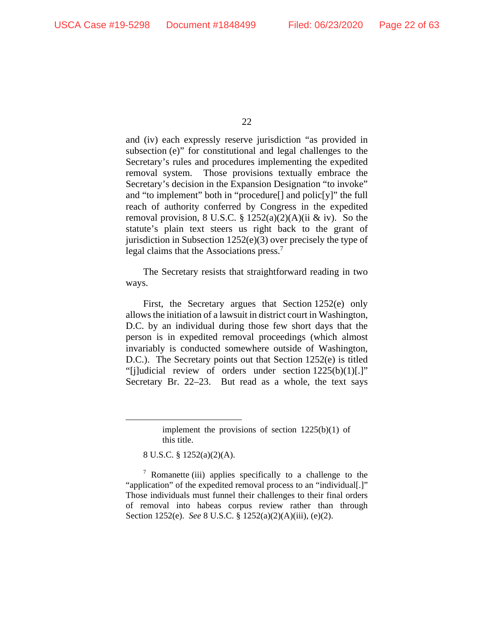and (iv) each expressly reserve jurisdiction "as provided in subsection (e)" for constitutional and legal challenges to the Secretary's rules and procedures implementing the expedited removal system. Those provisions textually embrace the Secretary's decision in the Expansion Designation "to invoke" and "to implement" both in "procedure[] and polic[y]" the full reach of authority conferred by Congress in the expedited removal provision, 8 U.S.C. §  $1252(a)(2)(A)(ii & iv)$ . So the statute's plain text steers us right back to the grant of jurisdiction in Subsection 1252(e)(3) over precisely the type of legal claims that the Associations press.<sup>7</sup>

The Secretary resists that straightforward reading in two ways.

First, the Secretary argues that Section 1252(e) only allows the initiation of a lawsuit in district court in Washington, D.C. by an individual during those few short days that the person is in expedited removal proceedings (which almost invariably is conducted somewhere outside of Washington, D.C.). The Secretary points out that Section 1252(e) is titled "[j]udicial review of orders under section 1225(b)(1)[.]" Secretary Br. 22–23. But read as a whole, the text says

8 U.S.C. § 1252(a)(2)(A).

<sup>7</sup> Romanette (iii) applies specifically to a challenge to the "application" of the expedited removal process to an "individual[.]" Those individuals must funnel their challenges to their final orders of removal into habeas corpus review rather than through Section 1252(e). *See* 8 U.S.C. § 1252(a)(2)(A)(iii), (e)(2).

implement the provisions of section 1225(b)(1) of this title.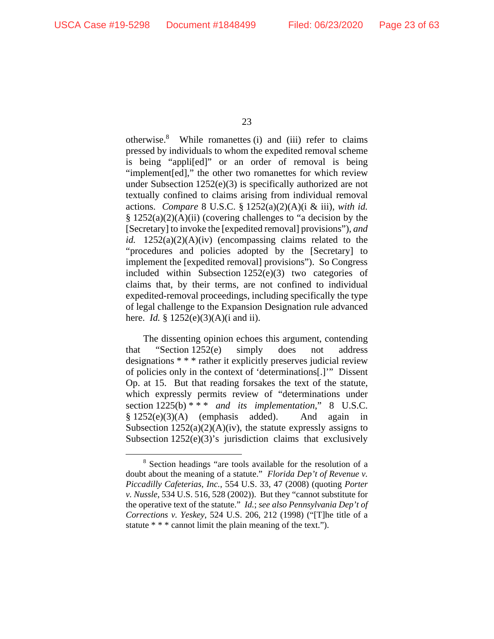otherwise.8 While romanettes (i) and (iii) refer to claims pressed by individuals to whom the expedited removal scheme is being "appli[ed]" or an order of removal is being "implement[ed]," the other two romanettes for which review under Subsection 1252(e)(3) is specifically authorized are not textually confined to claims arising from individual removal actions. *Compare* 8 U.S.C. § 1252(a)(2)(A)(i & iii), *with id.*  $§ 1252(a)(2)(A)(ii)$  (covering challenges to "a decision by the [Secretary] to invoke the [expedited removal] provisions"), *and id.* 1252(a)(2)(A)(iv) (encompassing claims related to the "procedures and policies adopted by the [Secretary] to implement the [expedited removal] provisions"). So Congress included within Subsection 1252(e)(3) two categories of claims that, by their terms, are not confined to individual expedited-removal proceedings, including specifically the type of legal challenge to the Expansion Designation rule advanced here. *Id.* § 1252(e)(3)(A)(i and ii).

The dissenting opinion echoes this argument, contending that "Section 1252(e) simply does not address designations \* \* \* rather it explicitly preserves judicial review of policies only in the context of 'determinations[.]'" Dissent Op. at 15. But that reading forsakes the text of the statute, which expressly permits review of "determinations under section  $1225(b)$ <sup>\*\*\*</sup> *and its implementation*," 8 U.S.C.  $§ 1252(e)(3)(A)$  (emphasis added). And again in Subsection  $1252(a)(2)(A)(iv)$ , the statute expressly assigns to Subsection 1252(e)(3)'s jurisdiction claims that exclusively

<sup>8</sup> Section headings "are tools available for the resolution of a doubt about the meaning of a statute." *Florida Dep't of Revenue v. Piccadilly Cafeterias, Inc.*, 554 U.S. 33, 47 (2008) (quoting *Porter v. Nussle*, 534 U.S. 516, 528 (2002)). But they "cannot substitute for the operative text of the statute." *Id.*; *see also Pennsylvania Dep't of Corrections v. Yeskey*, 524 U.S. 206, 212 (1998) ("[T]he title of a statute \* \* \* cannot limit the plain meaning of the text.").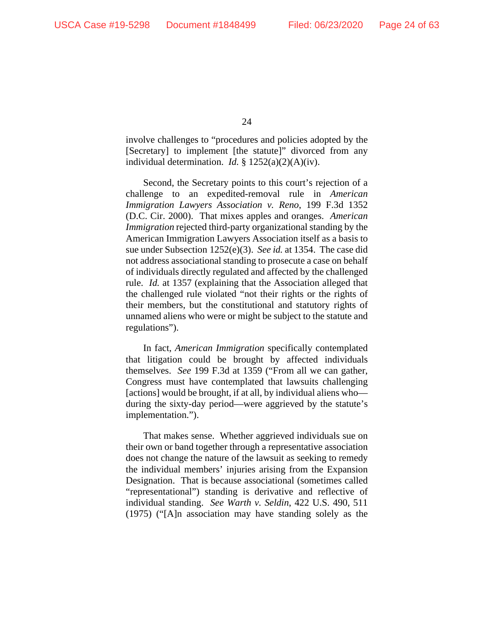involve challenges to "procedures and policies adopted by the [Secretary] to implement [the statute]" divorced from any individual determination. *Id.* § 1252(a)(2)(A)(iv).

Second, the Secretary points to this court's rejection of a challenge to an expedited-removal rule in *American Immigration Lawyers Association v. Reno*, 199 F.3d 1352 (D.C. Cir. 2000). That mixes apples and oranges. *American Immigration* rejected third-party organizational standing by the American Immigration Lawyers Association itself as a basis to sue under Subsection 1252(e)(3). *See id.* at 1354. The case did not address associational standing to prosecute a case on behalf of individuals directly regulated and affected by the challenged rule. *Id.* at 1357 (explaining that the Association alleged that the challenged rule violated "not their rights or the rights of their members, but the constitutional and statutory rights of unnamed aliens who were or might be subject to the statute and regulations").

In fact, *American Immigration* specifically contemplated that litigation could be brought by affected individuals themselves. *See* 199 F.3d at 1359 ("From all we can gather, Congress must have contemplated that lawsuits challenging [actions] would be brought, if at all, by individual aliens who during the sixty-day period—were aggrieved by the statute's implementation.").

That makes sense. Whether aggrieved individuals sue on their own or band together through a representative association does not change the nature of the lawsuit as seeking to remedy the individual members' injuries arising from the Expansion Designation. That is because associational (sometimes called "representational") standing is derivative and reflective of individual standing. *See Warth v. Seldin*, 422 U.S. 490, 511 (1975) ("[A]n association may have standing solely as the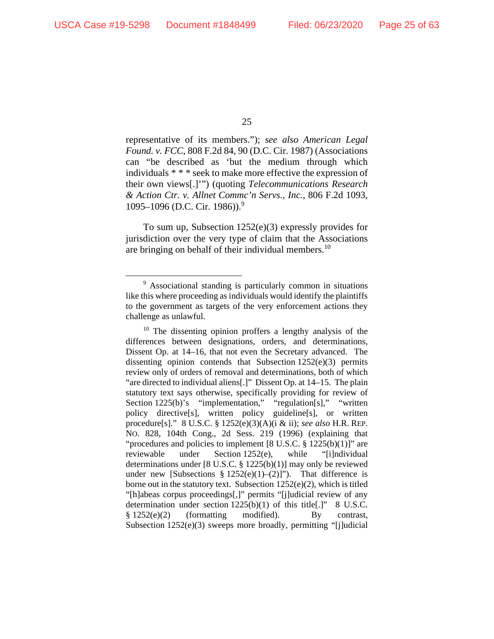representative of its members."); *see also American Legal Found. v. FCC*, 808 F.2d 84, 90 (D.C. Cir. 1987) (Associations can "be described as 'but the medium through which individuals \* \* \* seek to make more effective the expression of their own views[.]'") (quoting *Telecommunications Research & Action Ctr. v. Allnet Commc'n Servs., Inc.*, 806 F.2d 1093, 1095–1096 (D.C. Cir. 1986)).<sup>9</sup>

To sum up, Subsection 1252(e)(3) expressly provides for jurisdiction over the very type of claim that the Associations are bringing on behalf of their individual members.10

<sup>&</sup>lt;sup>9</sup> Associational standing is particularly common in situations like this where proceeding as individuals would identify the plaintiffs to the government as targets of the very enforcement actions they challenge as unlawful.

<sup>&</sup>lt;sup>10</sup> The dissenting opinion proffers a lengthy analysis of the differences between designations, orders, and determinations, Dissent Op. at 14–16, that not even the Secretary advanced. The dissenting opinion contends that Subsection  $1252(e)(3)$  permits review only of orders of removal and determinations, both of which "are directed to individual aliens[.]" Dissent Op. at 14–15. The plain statutory text says otherwise, specifically providing for review of Section 1225(b)'s "implementation," "regulation[s]," "written policy directive[s], written policy guideline[s], or written procedure[s]." 8 U.S.C. § 1252(e)(3)(A)(i & ii); *see also* H.R. REP. NO. 828, 104th Cong., 2d Sess. 219 (1996) (explaining that "procedures and policies to implement  $[8 \text{ U.S.C. } \frac{8}{9} \frac{1225(b)(1)}{125(c)}]$ " are reviewable under Section 1252(e), while "[i]ndividual determinations under [8 U.S.C. § 1225(b)(1)] may only be reviewed under new [Subsections  $\S 1252(e)(1)-(2)$ ]"). That difference is borne out in the statutory text. Subsection  $1252(e)(2)$ , which is titled "[h]abeas corpus proceedings[,]" permits "[j]udicial review of any determination under section 1225(b)(1) of this title[.]" 8 U.S.C.  $§ 1252(e)(2)$  (formatting modified). By contrast, Subsection 1252(e)(3) sweeps more broadly, permitting "[j]udicial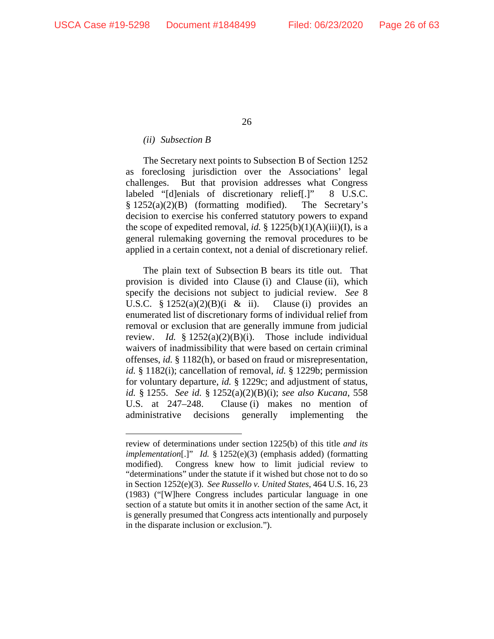### *(ii) Subsection B*

The Secretary next points to Subsection B of Section 1252 as foreclosing jurisdiction over the Associations' legal challenges. But that provision addresses what Congress labeled "[d]enials of discretionary relief[.]" 8 U.S.C.  $§ 1252(a)(2)(B)$  (formatting modified). The Secretary's decision to exercise his conferred statutory powers to expand the scope of expedited removal, *id.*  $\S 1225(b)(1)(A)(iii)(I)$ , is a general rulemaking governing the removal procedures to be applied in a certain context, not a denial of discretionary relief.

The plain text of Subsection B bears its title out. That provision is divided into Clause (i) and Clause (ii), which specify the decisions not subject to judicial review. *See* 8 U.S.C.  $\S 1252(a)(2)(B)(i \& ii)$ . Clause (i) provides an enumerated list of discretionary forms of individual relief from removal or exclusion that are generally immune from judicial review. *Id.* § 1252(a)(2)(B)(i). Those include individual waivers of inadmissibility that were based on certain criminal offenses, *id.* § 1182(h), or based on fraud or misrepresentation, *id.* § 1182(i); cancellation of removal, *id.* § 1229b; permission for voluntary departure, *id.* § 1229c; and adjustment of status, *id.* § 1255. *See id.* § 1252(a)(2)(B)(i); *see also Kucana*, 558 U.S. at 247–248. Clause (i) makes no mention of administrative decisions generally implementing the

review of determinations under section 1225(b) of this title *and its implementation*[.]" *Id.* § 1252(e)(3) (emphasis added) (formatting modified). Congress knew how to limit judicial review to "determinations" under the statute if it wished but chose not to do so in Section 1252(e)(3). *See Russello v. United States*, 464 U.S. 16, 23 (1983) ("[W]here Congress includes particular language in one section of a statute but omits it in another section of the same Act, it is generally presumed that Congress acts intentionally and purposely in the disparate inclusion or exclusion.").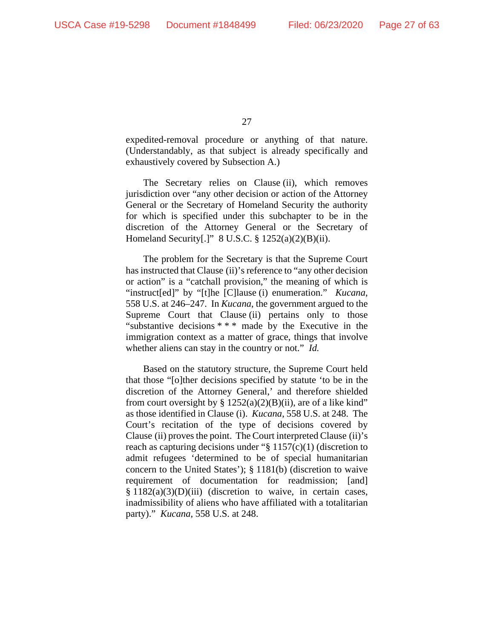expedited-removal procedure or anything of that nature. (Understandably, as that subject is already specifically and exhaustively covered by Subsection A.)

The Secretary relies on Clause (ii), which removes jurisdiction over "any other decision or action of the Attorney General or the Secretary of Homeland Security the authority for which is specified under this subchapter to be in the discretion of the Attorney General or the Secretary of Homeland Security[.]" 8 U.S.C. § 1252(a)(2)(B)(ii).

The problem for the Secretary is that the Supreme Court has instructed that Clause (ii)'s reference to "any other decision or action" is a "catchall provision," the meaning of which is "instruct[ed]" by "[t]he [C]lause (i) enumeration." *Kucana*, 558 U.S. at 246–247. In *Kucana*, the government argued to the Supreme Court that Clause (ii) pertains only to those "substantive decisions \* \* \* made by the Executive in the immigration context as a matter of grace, things that involve whether aliens can stay in the country or not." *Id.*

Based on the statutory structure, the Supreme Court held that those "[o]ther decisions specified by statute 'to be in the discretion of the Attorney General,' and therefore shielded from court oversight by §  $1252(a)(2)(B)(ii)$ , are of a like kind" as those identified in Clause (i). *Kucana*, 558 U.S. at 248. The Court's recitation of the type of decisions covered by Clause (ii) proves the point. The Court interpreted Clause (ii)'s reach as capturing decisions under "§ 1157(c)(1) (discretion to admit refugees 'determined to be of special humanitarian concern to the United States'); § 1181(b) (discretion to waive requirement of documentation for readmission; [and]  $§ 1182(a)(3)(D)(iii)$  (discretion to waive, in certain cases, inadmissibility of aliens who have affiliated with a totalitarian party)." *Kucana*, 558 U.S. at 248.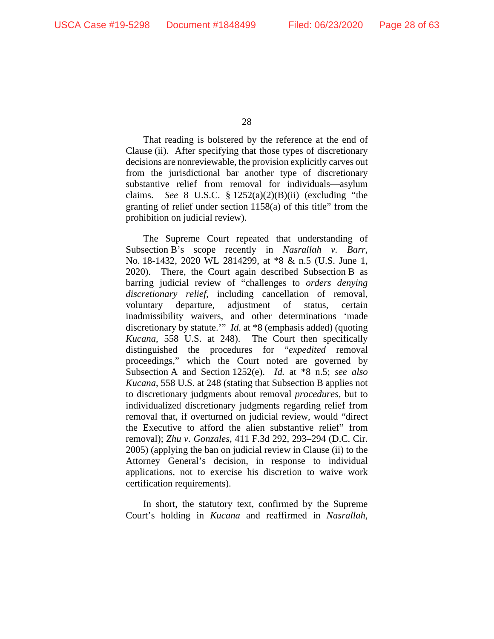That reading is bolstered by the reference at the end of Clause (ii). After specifying that those types of discretionary decisions are nonreviewable, the provision explicitly carves out from the jurisdictional bar another type of discretionary substantive relief from removal for individuals—asylum claims. *See* 8 U.S.C. § 1252(a)(2)(B)(ii) (excluding "the granting of relief under section 1158(a) of this title" from the prohibition on judicial review).

The Supreme Court repeated that understanding of Subsection B's scope recently in *Nasrallah v. Barr*, No. 18-1432, 2020 WL 2814299, at \*8 & n.5 (U.S. June 1, 2020). There, the Court again described Subsection B as barring judicial review of "challenges to *orders denying discretionary relief*, including cancellation of removal, voluntary departure, adjustment of status, certain inadmissibility waivers, and other determinations 'made discretionary by statute.'" *Id*. at \*8 (emphasis added) (quoting *Kucana*, 558 U.S. at 248). The Court then specifically distinguished the procedures for "*expedited* removal proceedings," which the Court noted are governed by Subsection A and Section 1252(e). *Id.* at \*8 n.5; *see also Kucana*, 558 U.S. at 248 (stating that Subsection B applies not to discretionary judgments about removal *procedures*, but to individualized discretionary judgments regarding relief from removal that, if overturned on judicial review, would "direct the Executive to afford the alien substantive relief" from removal); *Zhu v. Gonzales*, 411 F.3d 292, 293–294 (D.C. Cir. 2005) (applying the ban on judicial review in Clause (ii) to the Attorney General's decision, in response to individual applications, not to exercise his discretion to waive work certification requirements).

In short, the statutory text, confirmed by the Supreme Court's holding in *Kucana* and reaffirmed in *Nasrallah*,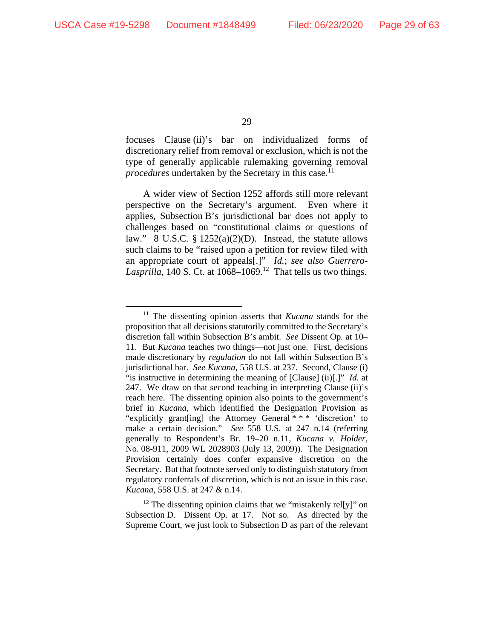focuses Clause (ii)'s bar on individualized forms of discretionary relief from removal or exclusion, which is not the type of generally applicable rulemaking governing removal *procedures* undertaken by the Secretary in this case.<sup>11</sup>

A wider view of Section 1252 affords still more relevant perspective on the Secretary's argument. Even where it applies, Subsection B's jurisdictional bar does not apply to challenges based on "constitutional claims or questions of law." 8 U.S.C.  $\S 1252(a)(2)(D)$ . Instead, the statute allows such claims to be "raised upon a petition for review filed with an appropriate court of appeals[.]" *Id.*; *see also Guerrero-Lasprilla*, 140 S. Ct. at  $1068-1069$ .<sup>12</sup> That tells us two things.

 $12$  The dissenting opinion claims that we "mistakenly rel[y]" on Subsection D. Dissent Op. at 17. Not so. As directed by the Supreme Court, we just look to Subsection D as part of the relevant

<sup>11</sup> The dissenting opinion asserts that *Kucana* stands for the proposition that all decisions statutorily committed to the Secretary's discretion fall within Subsection B's ambit. *See* Dissent Op. at 10– 11. But *Kucana* teaches two things—not just one. First, decisions made discretionary by *regulation* do not fall within Subsection B's jurisdictional bar. *See Kucana*, 558 U.S. at 237. Second, Clause (i) "is instructive in determining the meaning of [Clause] (ii)[.]" *Id.* at 247. We draw on that second teaching in interpreting Clause (ii)'s reach here. The dissenting opinion also points to the government's brief in *Kucana*, which identified the Designation Provision as "explicitly grant[ing] the Attorney General \* \* \* 'discretion' to make a certain decision." *See* 558 U.S. at 247 n.14 (referring generally to Respondent's Br. 19–20 n.11, *Kucana v. Holder*, No. 08-911, 2009 WL 2028903 (July 13, 2009)). The Designation Provision certainly does confer expansive discretion on the Secretary. But that footnote served only to distinguish statutory from regulatory conferrals of discretion, which is not an issue in this case. *Kucana*, 558 U.S. at 247 & n.14.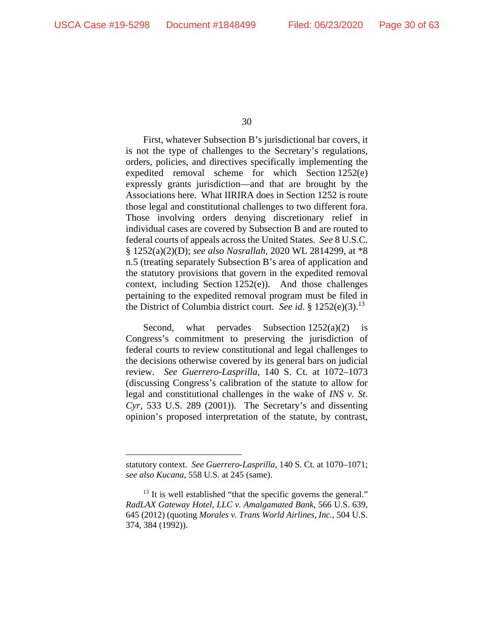First, whatever Subsection B's jurisdictional bar covers, it is not the type of challenges to the Secretary's regulations, orders, policies, and directives specifically implementing the expedited removal scheme for which Section 1252(e) expressly grants jurisdiction—and that are brought by the Associations here. What IIRIRA does in Section 1252 is route those legal and constitutional challenges to two different fora. Those involving orders denying discretionary relief in individual cases are covered by Subsection B and are routed to federal courts of appeals across the United States. *See* 8 U.S.C. § 1252(a)(2)(D); *see also Nasrallah*, 2020 WL 2814299, at \*8 n.5 (treating separately Subsection B's area of application and the statutory provisions that govern in the expedited removal context, including Section 1252(e)). And those challenges pertaining to the expedited removal program must be filed in the District of Columbia district court. *See id.* § 1252(e)(3).13

Second, what pervades Subsection  $1252(a)(2)$  is Congress's commitment to preserving the jurisdiction of federal courts to review constitutional and legal challenges to the decisions otherwise covered by its general bars on judicial review. *See Guerrero-Lasprilla*, 140 S. Ct. at 1072–1073 (discussing Congress's calibration of the statute to allow for legal and constitutional challenges in the wake of *INS v. St. Cyr*, 533 U.S. 289 (2001)). The Secretary's and dissenting opinion's proposed interpretation of the statute, by contrast,

statutory context. *See Guerrero-Lasprilla*, 140 S. Ct. at 1070–1071; *see also Kucana*, 558 U.S. at 245 (same).

 $13$  It is well established "that the specific governs the general." *RadLAX Gateway Hotel, LLC v. Amalgamated Bank*, 566 U.S. 639, 645 (2012) (quoting *Morales v. Trans World Airlines, Inc.*, 504 U.S. 374, 384 (1992)).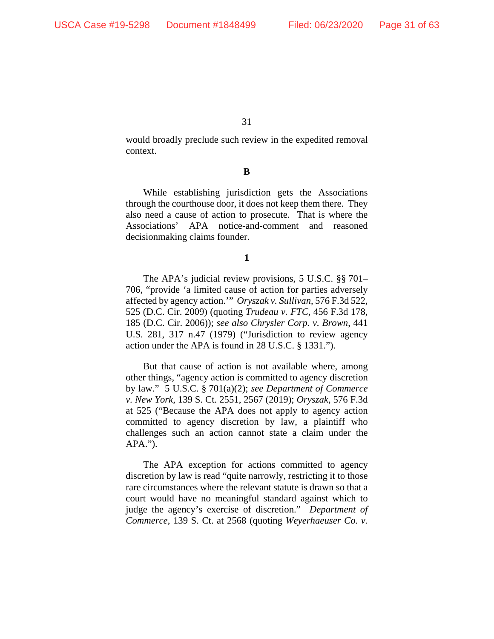would broadly preclude such review in the expedited removal context.

**B** 

While establishing jurisdiction gets the Associations through the courthouse door, it does not keep them there. They also need a cause of action to prosecute. That is where the Associations' APA notice-and-comment and reasoned decisionmaking claims founder.

**1** 

The APA's judicial review provisions, 5 U.S.C. §§ 701– 706, "provide 'a limited cause of action for parties adversely affected by agency action.'" *Oryszak v. Sullivan*, 576 F.3d 522, 525 (D.C. Cir. 2009) (quoting *Trudeau v. FTC*, 456 F.3d 178, 185 (D.C. Cir. 2006)); *see also Chrysler Corp. v. Brown*, 441 U.S. 281, 317 n.47 (1979) ("Jurisdiction to review agency action under the APA is found in 28 U.S.C. § 1331.").

But that cause of action is not available where, among other things, "agency action is committed to agency discretion by law." 5 U.S.C. § 701(a)(2); *see Department of Commerce v. New York*, 139 S. Ct. 2551, 2567 (2019); *Oryszak*, 576 F.3d at 525 ("Because the APA does not apply to agency action committed to agency discretion by law, a plaintiff who challenges such an action cannot state a claim under the APA.").

The APA exception for actions committed to agency discretion by law is read "quite narrowly, restricting it to those rare circumstances where the relevant statute is drawn so that a court would have no meaningful standard against which to judge the agency's exercise of discretion." *Department of Commerce*, 139 S. Ct. at 2568 (quoting *Weyerhaeuser Co. v.*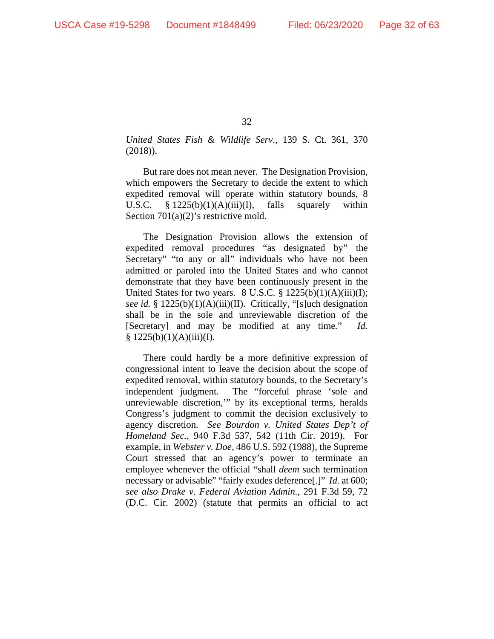*United States Fish & Wildlife Serv.*, 139 S. Ct. 361, 370 (2018)).

But rare does not mean never. The Designation Provision, which empowers the Secretary to decide the extent to which expedited removal will operate within statutory bounds, 8 U.S.C.  $\frac{8}{225(b)(1)(A)(iii)(I)}$ , falls squarely within Section 701(a)(2)'s restrictive mold.

The Designation Provision allows the extension of expedited removal procedures "as designated by" the Secretary" "to any or all" individuals who have not been admitted or paroled into the United States and who cannot demonstrate that they have been continuously present in the United States for two years.  $8 \text{ U.S.C.} \$   $1225(b)(1)(A)(iii)(I);$ *see id.* § 1225(b)(1)(A)(iii)(II). Critically, "[s]uch designation shall be in the sole and unreviewable discretion of the [Secretary] and may be modified at any time*.*" *Id.*  $§ 1225(b)(1)(A)(iii)(I).$ 

There could hardly be a more definitive expression of congressional intent to leave the decision about the scope of expedited removal, within statutory bounds, to the Secretary's independent judgment. The "forceful phrase 'sole and unreviewable discretion,'" by its exceptional terms, heralds Congress's judgment to commit the decision exclusively to agency discretion. *See Bourdon v. United States Dep't of Homeland Sec.*, 940 F.3d 537, 542 (11th Cir. 2019). For example, in *Webster v. Doe*, 486 U.S. 592 (1988), the Supreme Court stressed that an agency's power to terminate an employee whenever the official "shall *deem* such termination necessary or advisable" "fairly exudes deference[.]" *Id.* at 600; *see also Drake v. Federal Aviation Admin.*, 291 F.3d 59, 72 (D.C. Cir. 2002) (statute that permits an official to act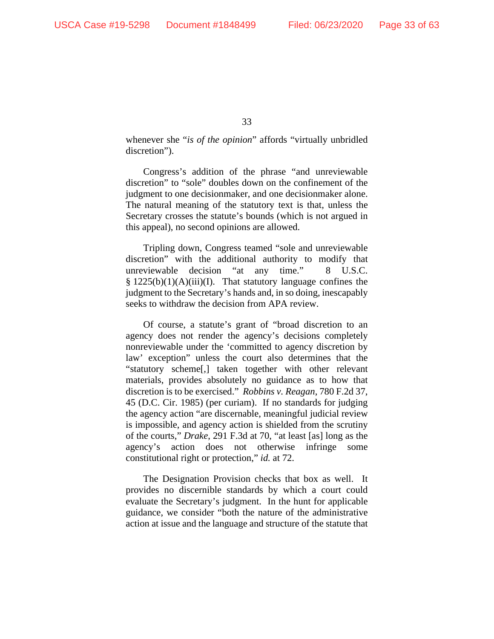whenever she "*is of the opinion*" affords "virtually unbridled discretion").

Congress's addition of the phrase "and unreviewable discretion" to "sole" doubles down on the confinement of the judgment to one decisionmaker, and one decisionmaker alone. The natural meaning of the statutory text is that, unless the Secretary crosses the statute's bounds (which is not argued in this appeal), no second opinions are allowed.

Tripling down, Congress teamed "sole and unreviewable discretion" with the additional authority to modify that unreviewable decision "at any time." 8 U.S.C.  $§ 1225(b)(1)(A)(iii)(I).$  That statutory language confines the judgment to the Secretary's hands and, in so doing, inescapably seeks to withdraw the decision from APA review.

Of course, a statute's grant of "broad discretion to an agency does not render the agency's decisions completely nonreviewable under the 'committed to agency discretion by law' exception" unless the court also determines that the "statutory scheme[,] taken together with other relevant materials, provides absolutely no guidance as to how that discretion is to be exercised." *Robbins v. Reagan*, 780 F.2d 37, 45 (D.C. Cir. 1985) (per curiam). If no standards for judging the agency action "are discernable, meaningful judicial review is impossible, and agency action is shielded from the scrutiny of the courts," *Drake*, 291 F.3d at 70, "at least [as] long as the agency's action does not otherwise infringe some constitutional right or protection," *id.* at 72.

The Designation Provision checks that box as well. It provides no discernible standards by which a court could evaluate the Secretary's judgment. In the hunt for applicable guidance, we consider "both the nature of the administrative action at issue and the language and structure of the statute that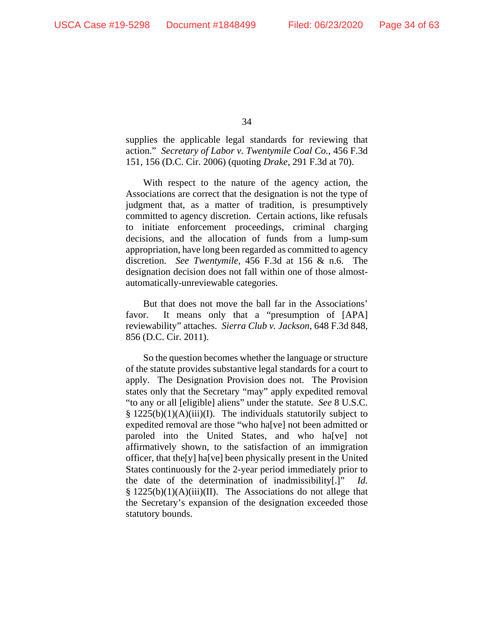supplies the applicable legal standards for reviewing that action." *Secretary of Labor v. Twentymile Coal Co.*, 456 F.3d 151, 156 (D.C. Cir. 2006) (quoting *Drake*, 291 F.3d at 70).

With respect to the nature of the agency action, the Associations are correct that the designation is not the type of judgment that, as a matter of tradition, is presumptively committed to agency discretion. Certain actions, like refusals to initiate enforcement proceedings, criminal charging decisions, and the allocation of funds from a lump-sum appropriation, have long been regarded as committed to agency discretion. *See Twentymile*, 456 F.3d at 156 & n.6. The designation decision does not fall within one of those almostautomatically-unreviewable categories.

But that does not move the ball far in the Associations' favor. It means only that a "presumption of [APA] reviewability" attaches. *Sierra Club v. Jackson*, 648 F.3d 848, 856 (D.C. Cir. 2011).

So the question becomes whether the language or structure of the statute provides substantive legal standards for a court to apply. The Designation Provision does not. The Provision states only that the Secretary "may" apply expedited removal "to any or all [eligible] aliens" under the statute. *See* 8 U.S.C.  $§ 1225(b)(1)(A)(iii)(I).$  The individuals statutorily subject to expedited removal are those "who ha[ve] not been admitted or paroled into the United States, and who ha[ve] not affirmatively shown, to the satisfaction of an immigration officer, that the[y] ha[ve] been physically present in the United States continuously for the 2-year period immediately prior to the date of the determination of inadmissibility[.]" *Id.*  $§ 1225(b)(1)(A)(iii)(II)$ . The Associations do not allege that the Secretary's expansion of the designation exceeded those statutory bounds.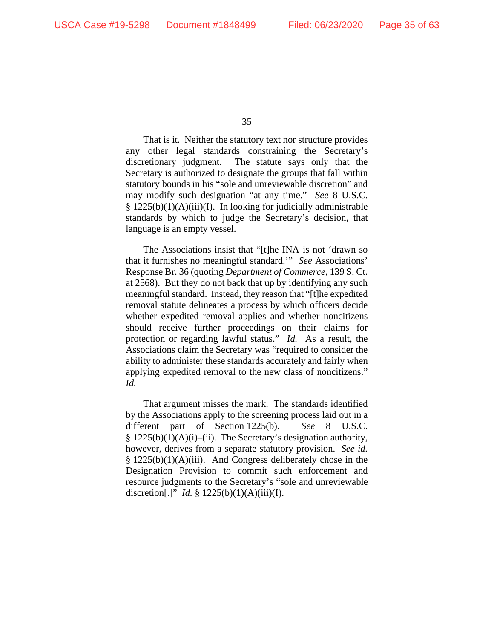That is it. Neither the statutory text nor structure provides any other legal standards constraining the Secretary's discretionary judgment. The statute says only that the Secretary is authorized to designate the groups that fall within statutory bounds in his "sole and unreviewable discretion" and may modify such designation "at any time." *See* 8 U.S.C. § 1225(b)(1)(A)(iii)(I). In looking for judicially administrable standards by which to judge the Secretary's decision, that language is an empty vessel.

The Associations insist that "[t]he INA is not 'drawn so that it furnishes no meaningful standard.'" *See* Associations' Response Br. 36 (quoting *Department of Commerce*, 139 S. Ct. at 2568). But they do not back that up by identifying any such meaningful standard. Instead, they reason that "[t]he expedited removal statute delineates a process by which officers decide whether expedited removal applies and whether noncitizens should receive further proceedings on their claims for protection or regarding lawful status." *Id.* As a result, the Associations claim the Secretary was "required to consider the ability to administer these standards accurately and fairly when applying expedited removal to the new class of noncitizens." *Id.*

That argument misses the mark. The standards identified by the Associations apply to the screening process laid out in a different part of Section 1225(b). *See* 8 U.S.C.  $§ 1225(b)(1)(A)(i)–(ii)$ . The Secretary's designation authority, however, derives from a separate statutory provision. *See id.* § 1225(b)(1)(A)(iii). And Congress deliberately chose in the Designation Provision to commit such enforcement and resource judgments to the Secretary's "sole and unreviewable discretion[.]" *Id.* § 1225(b)(1)(A)(iii)(I).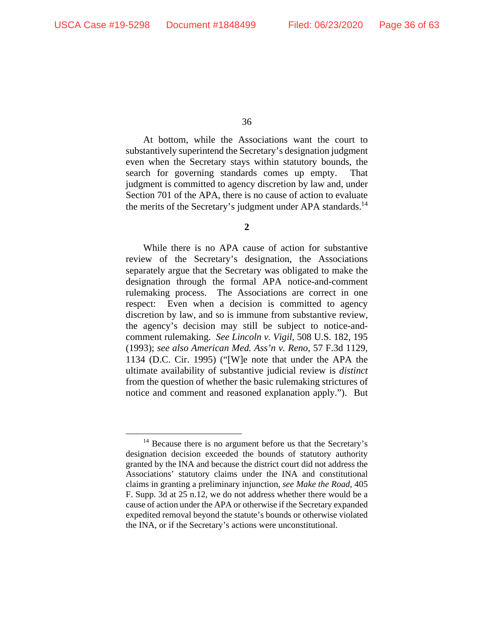At bottom, while the Associations want the court to substantively superintend the Secretary's designation judgment even when the Secretary stays within statutory bounds, the search for governing standards comes up empty. That judgment is committed to agency discretion by law and, under Section 701 of the APA, there is no cause of action to evaluate the merits of the Secretary's judgment under APA standards.<sup>14</sup>

**2** 

While there is no APA cause of action for substantive review of the Secretary's designation, the Associations separately argue that the Secretary was obligated to make the designation through the formal APA notice-and-comment rulemaking process. The Associations are correct in one respect: Even when a decision is committed to agency discretion by law, and so is immune from substantive review, the agency's decision may still be subject to notice-andcomment rulemaking. *See Lincoln v. Vigil*, 508 U.S. 182, 195 (1993); *see also American Med. Ass'n v. Reno*, 57 F.3d 1129, 1134 (D.C. Cir. 1995) ("[W]e note that under the APA the ultimate availability of substantive judicial review is *distinct* from the question of whether the basic rulemaking strictures of notice and comment and reasoned explanation apply."). But

<sup>&</sup>lt;sup>14</sup> Because there is no argument before us that the Secretary's designation decision exceeded the bounds of statutory authority granted by the INA and because the district court did not address the Associations' statutory claims under the INA and constitutional claims in granting a preliminary injunction, *see Make the Road*, 405 F. Supp. 3d at 25 n.12, we do not address whether there would be a cause of action under the APA or otherwise if the Secretary expanded expedited removal beyond the statute's bounds or otherwise violated the INA, or if the Secretary's actions were unconstitutional.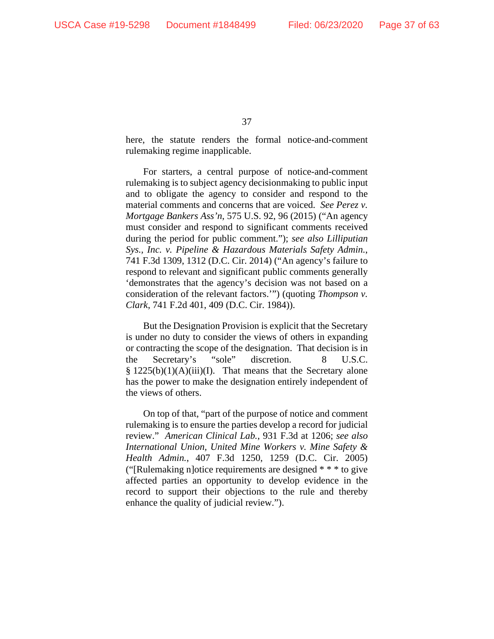here, the statute renders the formal notice-and-comment rulemaking regime inapplicable.

For starters, a central purpose of notice-and-comment rulemaking is to subject agency decisionmaking to public input and to obligate the agency to consider and respond to the material comments and concerns that are voiced. *See Perez v. Mortgage Bankers Ass'n*, 575 U.S. 92, 96 (2015) ("An agency must consider and respond to significant comments received during the period for public comment."); *see also Lilliputian Sys., Inc. v. Pipeline & Hazardous Materials Safety Admin.*, 741 F.3d 1309, 1312 (D.C. Cir. 2014) ("An agency's failure to respond to relevant and significant public comments generally 'demonstrates that the agency's decision was not based on a consideration of the relevant factors.'") (quoting *Thompson v. Clark*, 741 F.2d 401, 409 (D.C. Cir. 1984)).

But the Designation Provision is explicit that the Secretary is under no duty to consider the views of others in expanding or contracting the scope of the designation. That decision is in the Secretary's "sole" discretion. 8 U.S.C.  $§ 1225(b)(1)(A)(iii)(I).$  That means that the Secretary alone has the power to make the designation entirely independent of the views of others.

On top of that, "part of the purpose of notice and comment rulemaking is to ensure the parties develop a record for judicial review." *American Clinical Lab.*, 931 F.3d at 1206; *see also International Union, United Mine Workers v. Mine Safety & Health Admin.*, 407 F.3d 1250, 1259 (D.C. Cir. 2005) ("[Rulemaking n]otice requirements are designed \* \* \* to give affected parties an opportunity to develop evidence in the record to support their objections to the rule and thereby enhance the quality of judicial review.").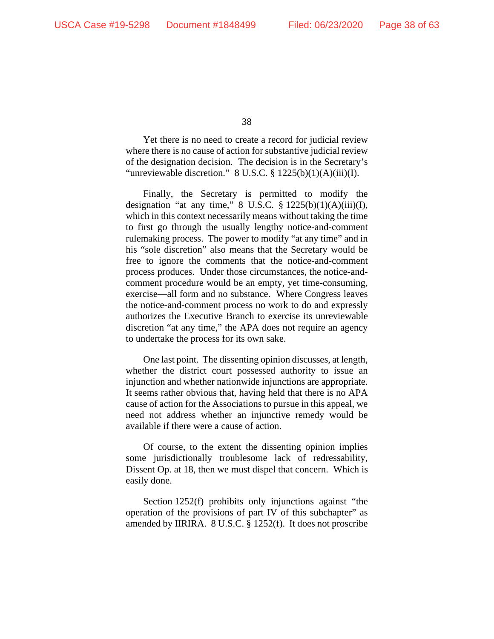Yet there is no need to create a record for judicial review where there is no cause of action for substantive judicial review of the designation decision. The decision is in the Secretary's "unreviewable discretion."  $8 \text{ U.S.C.} \$   $1225(b)(1)(A)(iii)(I)$ .

Finally, the Secretary is permitted to modify the designation "at any time,"  $8 \text{ U.S.C. } § 1225(b)(1)(A)(iii)(I),$ which in this context necessarily means without taking the time to first go through the usually lengthy notice-and-comment rulemaking process. The power to modify "at any time" and in his "sole discretion" also means that the Secretary would be free to ignore the comments that the notice-and-comment process produces. Under those circumstances, the notice-andcomment procedure would be an empty, yet time-consuming, exercise—all form and no substance. Where Congress leaves the notice-and-comment process no work to do and expressly authorizes the Executive Branch to exercise its unreviewable discretion "at any time," the APA does not require an agency to undertake the process for its own sake.

One last point. The dissenting opinion discusses, at length, whether the district court possessed authority to issue an injunction and whether nationwide injunctions are appropriate. It seems rather obvious that, having held that there is no APA cause of action for the Associations to pursue in this appeal, we need not address whether an injunctive remedy would be available if there were a cause of action.

Of course, to the extent the dissenting opinion implies some jurisdictionally troublesome lack of redressability, Dissent Op. at 18, then we must dispel that concern. Which is easily done.

Section 1252(f) prohibits only injunctions against "the operation of the provisions of part IV of this subchapter" as amended by IIRIRA. 8 U.S.C. § 1252(f). It does not proscribe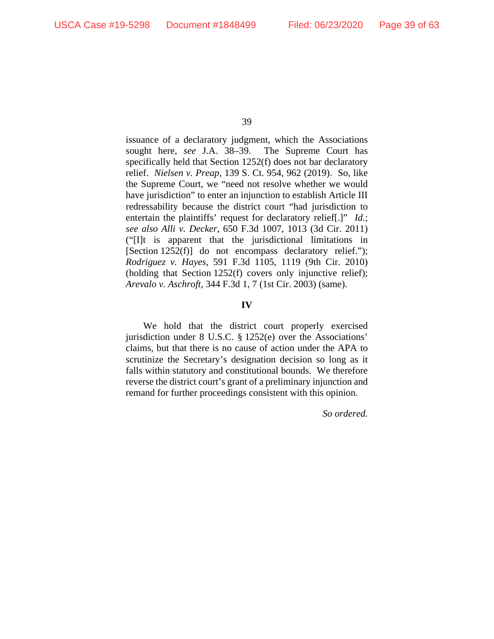issuance of a declaratory judgment, which the Associations sought here, *see* J.A. 38–39. The Supreme Court has specifically held that Section 1252(f) does not bar declaratory relief. *Nielsen v. Preap*, 139 S. Ct. 954, 962 (2019). So, like the Supreme Court, we "need not resolve whether we would have jurisdiction" to enter an injunction to establish Article III redressability because the district court "had jurisdiction to entertain the plaintiffs' request for declaratory relief[.]" *Id.*; *see also Alli v. Decker*, 650 F.3d 1007, 1013 (3d Cir. 2011) ("[I]t is apparent that the jurisdictional limitations in [Section 1252(f)] do not encompass declaratory relief."); *Rodriguez v. Hayes*, 591 F.3d 1105, 1119 (9th Cir. 2010) (holding that Section 1252(f) covers only injunctive relief); *Arevalo v. Aschroft*, 344 F.3d 1, 7 (1st Cir. 2003) (same).

### **IV**

We hold that the district court properly exercised jurisdiction under 8 U.S.C. § 1252(e) over the Associations' claims, but that there is no cause of action under the APA to scrutinize the Secretary's designation decision so long as it falls within statutory and constitutional bounds. We therefore reverse the district court's grant of a preliminary injunction and remand for further proceedings consistent with this opinion.

*So ordered.*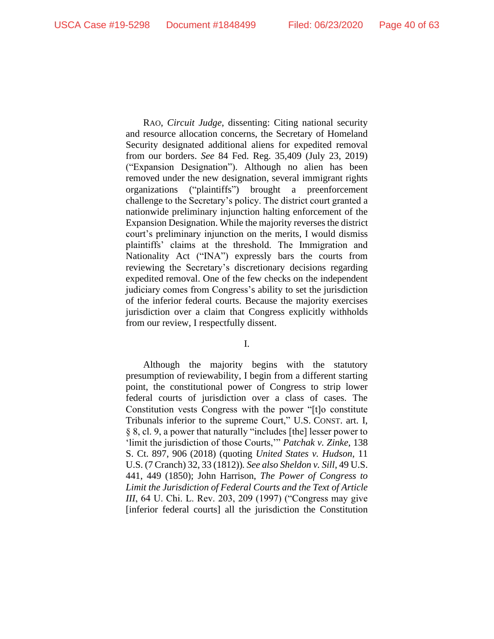RAO, *Circuit Judge*, dissenting: Citing national security and resource allocation concerns, the Secretary of Homeland Security designated additional aliens for expedited removal from our borders. *See* 84 Fed. Reg. 35,409 (July 23, 2019) ("Expansion Designation"). Although no alien has been removed under the new designation, several immigrant rights organizations ("plaintiffs") brought a preenforcement challenge to the Secretary's policy. The district court granted a nationwide preliminary injunction halting enforcement of the Expansion Designation. While the majority reverses the district court's preliminary injunction on the merits, I would dismiss plaintiffs' claims at the threshold. The Immigration and Nationality Act ("INA") expressly bars the courts from reviewing the Secretary's discretionary decisions regarding expedited removal. One of the few checks on the independent judiciary comes from Congress's ability to set the jurisdiction of the inferior federal courts. Because the majority exercises jurisdiction over a claim that Congress explicitly withholds from our review, I respectfully dissent.

I.

Although the majority begins with the statutory presumption of reviewability, I begin from a different starting point, the constitutional power of Congress to strip lower federal courts of jurisdiction over a class of cases. The Constitution vests Congress with the power "[t]o constitute Tribunals inferior to the supreme Court," U.S. CONST. art. I, § 8, cl. 9, a power that naturally "includes [the] lesser power to 'limit the jurisdiction of those Courts,'" *Patchak v. Zinke*, 138 S. Ct. 897, 906 (2018) (quoting *United States v. Hudson*, 11 U.S. (7 Cranch) 32, 33 (1812))*. See also Sheldon v. Sill*, 49 U.S. 441, 449 (1850); John Harrison, *The Power of Congress to Limit the Jurisdiction of Federal Courts and the Text of Article III*, 64 U. Chi. L. Rev. 203, 209 (1997) ("Congress may give [inferior federal courts] all the jurisdiction the Constitution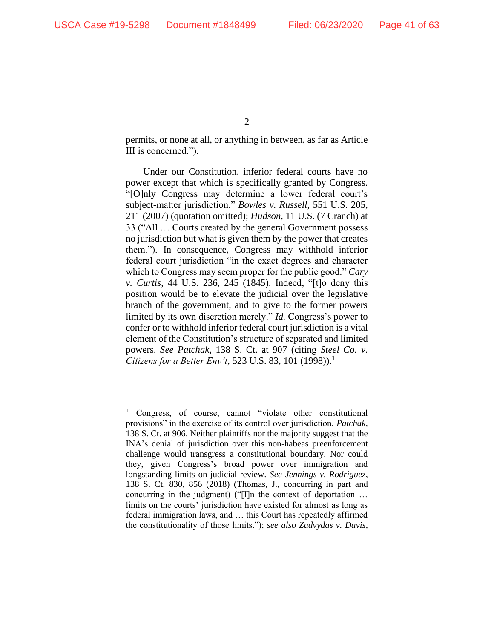permits, or none at all, or anything in between, as far as Article III is concerned.").

Under our Constitution, inferior federal courts have no power except that which is specifically granted by Congress. "[O]nly Congress may determine a lower federal court's subject-matter jurisdiction." *Bowles v. Russell*, 551 U.S. 205, 211 (2007) (quotation omitted); *Hudson*, 11 U.S. (7 Cranch) at 33 ("All … Courts created by the general Government possess no jurisdiction but what is given them by the power that creates them."). In consequence, Congress may withhold inferior federal court jurisdiction "in the exact degrees and character which to Congress may seem proper for the public good." *Cary v. Curtis*, 44 U.S. 236, 245 (1845). Indeed, "[t]o deny this position would be to elevate the judicial over the legislative branch of the government, and to give to the former powers limited by its own discretion merely." *Id.* Congress's power to confer or to withhold inferior federal court jurisdiction is a vital element of the Constitution's structure of separated and limited powers. *See Patchak*, 138 S. Ct. at 907 (citing *Steel Co. v. Citizens for a Better Env't, 523 U.S. 83, 101 (1998)).*<sup>1</sup>

<sup>&</sup>lt;sup>1</sup> Congress, of course, cannot "violate other constitutional provisions" in the exercise of its control over jurisdiction. *Patchak*, 138 S. Ct. at 906. Neither plaintiffs nor the majority suggest that the INA's denial of jurisdiction over this non-habeas preenforcement challenge would transgress a constitutional boundary. Nor could they, given Congress's broad power over immigration and longstanding limits on judicial review. *See Jennings v. Rodriguez*, 138 S. Ct. 830, 856 (2018) (Thomas, J., concurring in part and concurring in the judgment) ("[I]n the context of deportation … limits on the courts' jurisdiction have existed for almost as long as federal immigration laws, and … this Court has repeatedly affirmed the constitutionality of those limits."); *see also Zadvydas v. Davis*,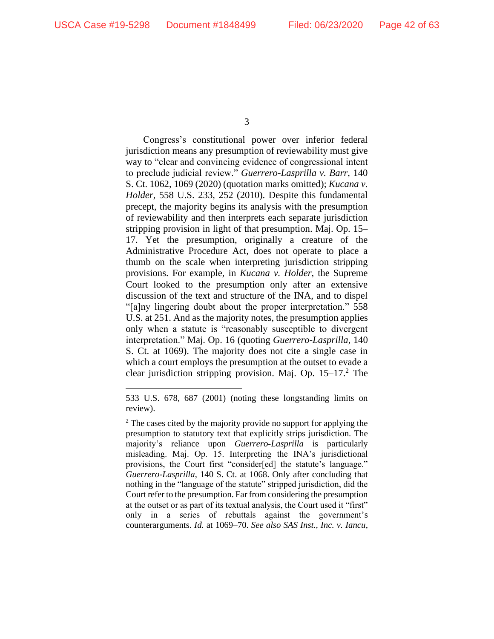Congress's constitutional power over inferior federal jurisdiction means any presumption of reviewability must give way to "clear and convincing evidence of congressional intent to preclude judicial review." *Guerrero-Lasprilla v. Barr*, 140 S. Ct. 1062, 1069 (2020) (quotation marks omitted); *Kucana v. Holder*, 558 U.S. 233, 252 (2010). Despite this fundamental precept, the majority begins its analysis with the presumption of reviewability and then interprets each separate jurisdiction stripping provision in light of that presumption. Maj. Op. 15– 17. Yet the presumption, originally a creature of the Administrative Procedure Act, does not operate to place a thumb on the scale when interpreting jurisdiction stripping provisions. For example, in *Kucana v. Holder*, the Supreme Court looked to the presumption only after an extensive discussion of the text and structure of the INA, and to dispel "[a]ny lingering doubt about the proper interpretation." 558 U.S. at 251. And as the majority notes, the presumption applies only when a statute is "reasonably susceptible to divergent interpretation." Maj. Op. 16 (quoting *Guerrero-Lasprilla*, 140 S. Ct. at 1069). The majority does not cite a single case in which a court employs the presumption at the outset to evade a clear jurisdiction stripping provision. Maj. Op. 15–17.<sup>2</sup> The

<sup>533</sup> U.S. 678, 687 (2001) (noting these longstanding limits on review).

 $2$  The cases cited by the majority provide no support for applying the presumption to statutory text that explicitly strips jurisdiction. The majority's reliance upon *Guerrero-Lasprilla* is particularly misleading. Maj. Op. 15. Interpreting the INA's jurisdictional provisions, the Court first "consider[ed] the statute's language." *Guerrero-Lasprilla*, 140 S. Ct. at 1068. Only after concluding that nothing in the "language of the statute" stripped jurisdiction, did the Court refer to the presumption. Far from considering the presumption at the outset or as part of its textual analysis, the Court used it "first" only in a series of rebuttals against the government's counterarguments. *Id.* at 1069–70. *See also SAS Inst., Inc. v. Iancu*,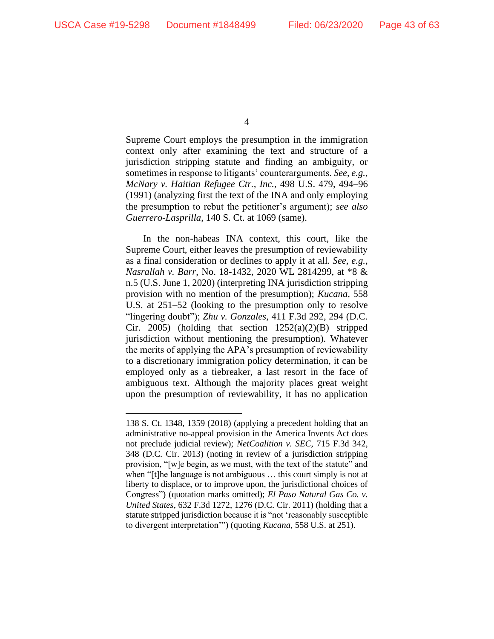Supreme Court employs the presumption in the immigration context only after examining the text and structure of a jurisdiction stripping statute and finding an ambiguity, or sometimes in response to litigants' counterarguments. *See, e.g.*, *McNary v. Haitian Refugee Ctr., Inc.*, 498 U.S. 479, 494–96 (1991) (analyzing first the text of the INA and only employing the presumption to rebut the petitioner's argument); *see also Guerrero-Lasprilla*, 140 S. Ct. at 1069 (same).

In the non-habeas INA context, this court, like the Supreme Court, either leaves the presumption of reviewability as a final consideration or declines to apply it at all. *See, e.g.*, *Nasrallah v. Barr*, No. 18-1432, 2020 WL 2814299, at \*8 & n.5 (U.S. June 1, 2020) (interpreting INA jurisdiction stripping provision with no mention of the presumption); *Kucana*, 558 U.S. at 251–52 (looking to the presumption only to resolve "lingering doubt"); *Zhu v. Gonzales*, 411 F.3d 292, 294 (D.C. Cir. 2005) (holding that section  $1252(a)(2)(B)$  stripped jurisdiction without mentioning the presumption). Whatever the merits of applying the APA's presumption of reviewability to a discretionary immigration policy determination, it can be employed only as a tiebreaker, a last resort in the face of ambiguous text. Although the majority places great weight upon the presumption of reviewability, it has no application

<sup>138</sup> S. Ct. 1348, 1359 (2018) (applying a precedent holding that an administrative no-appeal provision in the America Invents Act does not preclude judicial review); *NetCoalition v. SEC*, 715 F.3d 342, 348 (D.C. Cir. 2013) (noting in review of a jurisdiction stripping provision, "[w]e begin, as we must, with the text of the statute" and when "[t]he language is not ambiguous … this court simply is not at liberty to displace, or to improve upon, the jurisdictional choices of Congress") (quotation marks omitted); *El Paso Natural Gas Co. v. United States*, 632 F.3d 1272, 1276 (D.C. Cir. 2011) (holding that a statute stripped jurisdiction because it is "not 'reasonably susceptible to divergent interpretation'") (quoting *Kucana*, 558 U.S. at 251).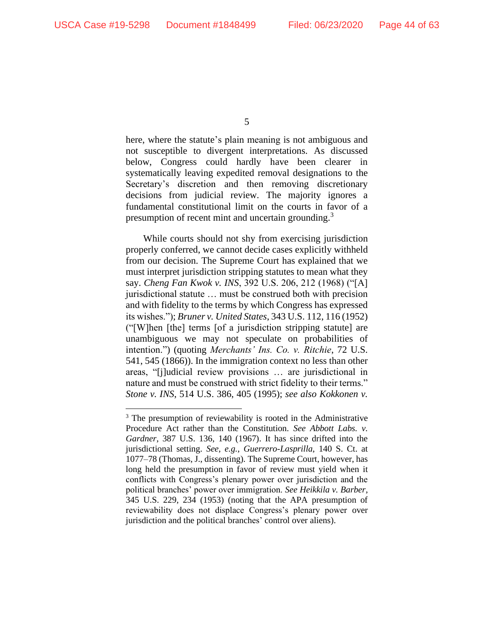here, where the statute's plain meaning is not ambiguous and not susceptible to divergent interpretations. As discussed below, Congress could hardly have been clearer in systematically leaving expedited removal designations to the Secretary's discretion and then removing discretionary decisions from judicial review. The majority ignores a fundamental constitutional limit on the courts in favor of a presumption of recent mint and uncertain grounding.<sup>3</sup>

While courts should not shy from exercising jurisdiction properly conferred, we cannot decide cases explicitly withheld from our decision. The Supreme Court has explained that we must interpret jurisdiction stripping statutes to mean what they say. *Cheng Fan Kwok v. INS*, 392 U.S. 206, 212 (1968) ("[A] jurisdictional statute … must be construed both with precision and with fidelity to the terms by which Congress has expressed its wishes."); *Bruner v. United States*, 343 U.S. 112, 116 (1952) ("[W]hen [the] terms [of a jurisdiction stripping statute] are unambiguous we may not speculate on probabilities of intention.") (quoting *Merchants' Ins. Co. v. Ritchie*, 72 U.S. 541, 545 (1866)). In the immigration context no less than other areas, "[j]udicial review provisions … are jurisdictional in nature and must be construed with strict fidelity to their terms." *Stone v. INS*, 514 U.S. 386, 405 (1995); *see also Kokkonen v.* 

<sup>&</sup>lt;sup>3</sup> The presumption of reviewability is rooted in the Administrative Procedure Act rather than the Constitution. *See Abbott Labs. v. Gardner*, 387 U.S. 136, 140 (1967). It has since drifted into the jurisdictional setting. *See, e.g.*, *Guerrero-Lasprilla*, 140 S. Ct. at 1077–78 (Thomas, J., dissenting)*.* The Supreme Court, however, has long held the presumption in favor of review must yield when it conflicts with Congress's plenary power over jurisdiction and the political branches' power over immigration. *See Heikkila v. Barber*, 345 U.S. 229, 234 (1953) (noting that the APA presumption of reviewability does not displace Congress's plenary power over jurisdiction and the political branches' control over aliens).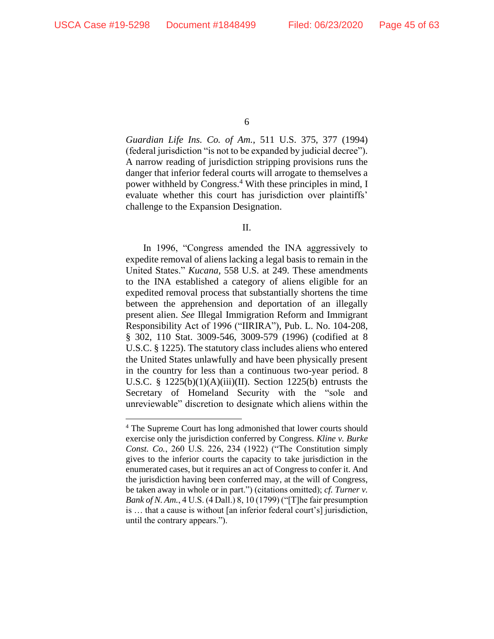*Guardian Life Ins. Co. of Am.*, 511 U.S. 375, 377 (1994) (federal jurisdiction "is not to be expanded by judicial decree"). A narrow reading of jurisdiction stripping provisions runs the danger that inferior federal courts will arrogate to themselves a power withheld by Congress.<sup>4</sup> With these principles in mind, I evaluate whether this court has jurisdiction over plaintiffs' challenge to the Expansion Designation.

II.

In 1996, "Congress amended the INA aggressively to expedite removal of aliens lacking a legal basis to remain in the United States." *Kucana*, 558 U.S. at 249. These amendments to the INA established a category of aliens eligible for an expedited removal process that substantially shortens the time between the apprehension and deportation of an illegally present alien. *See* Illegal Immigration Reform and Immigrant Responsibility Act of 1996 ("IIRIRA"), Pub. L. No. 104-208, § 302, 110 Stat. 3009-546, 3009-579 (1996) (codified at 8 U.S.C. § 1225). The statutory class includes aliens who entered the United States unlawfully and have been physically present in the country for less than a continuous two-year period. 8 U.S.C. §  $1225(b)(1)(A)(iii)(II)$ . Section 1225(b) entrusts the Secretary of Homeland Security with the "sole and unreviewable" discretion to designate which aliens within the

<sup>4</sup> The Supreme Court has long admonished that lower courts should exercise only the jurisdiction conferred by Congress. *Kline v. Burke Const. Co.*, 260 U.S. 226, 234 (1922) ("The Constitution simply gives to the inferior courts the capacity to take jurisdiction in the enumerated cases, but it requires an act of Congress to confer it. And the jurisdiction having been conferred may, at the will of Congress, be taken away in whole or in part.") (citations omitted); *cf. Turner v. Bank of N. Am.*, 4 U.S. (4 Dall.) 8, 10 (1799) ("[T]he fair presumption is … that a cause is without [an inferior federal court's] jurisdiction, until the contrary appears.").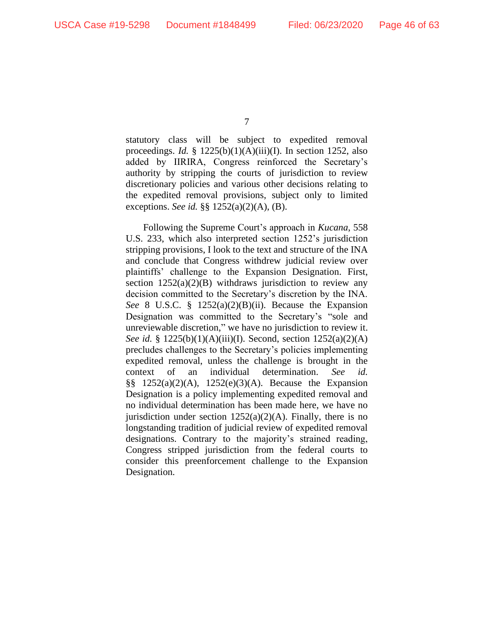statutory class will be subject to expedited removal proceedings. *Id.* § 1225(b)(1)(A)(iii)(I). In section 1252, also added by IIRIRA, Congress reinforced the Secretary's authority by stripping the courts of jurisdiction to review discretionary policies and various other decisions relating to the expedited removal provisions, subject only to limited exceptions. *See id.* §§ 1252(a)(2)(A), (B).

Following the Supreme Court's approach in *Kucana*, 558 U.S. 233, which also interpreted section 1252's jurisdiction stripping provisions, I look to the text and structure of the INA and conclude that Congress withdrew judicial review over plaintiffs' challenge to the Expansion Designation. First, section  $1252(a)(2)(B)$  withdraws jurisdiction to review any decision committed to the Secretary's discretion by the INA. *See* 8 U.S.C. § 1252(a)(2)(B)(ii). Because the Expansion Designation was committed to the Secretary's "sole and unreviewable discretion," we have no jurisdiction to review it. *See id.* § 1225(b)(1)(A)(iii)(I). Second, section 1252(a)(2)(A) precludes challenges to the Secretary's policies implementing expedited removal, unless the challenge is brought in the context of an individual determination. *See id.*  $\S$ § 1252(a)(2)(A), 1252(e)(3)(A). Because the Expansion Designation is a policy implementing expedited removal and no individual determination has been made here, we have no jurisdiction under section  $1252(a)(2)(A)$ . Finally, there is no longstanding tradition of judicial review of expedited removal designations. Contrary to the majority's strained reading, Congress stripped jurisdiction from the federal courts to consider this preenforcement challenge to the Expansion Designation.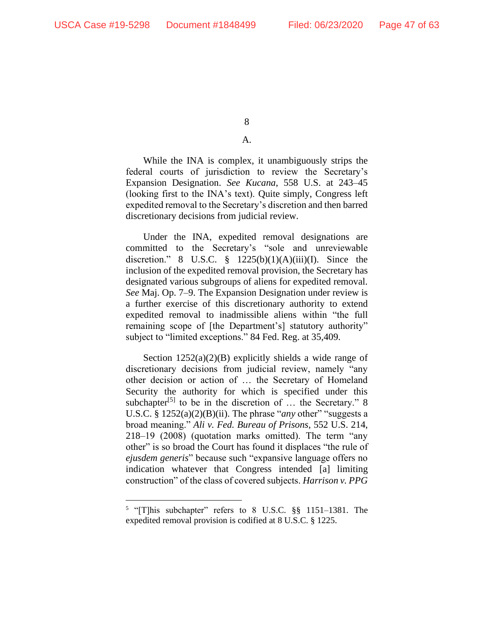### A.

While the INA is complex, it unambiguously strips the federal courts of jurisdiction to review the Secretary's Expansion Designation. *See Kucana*, 558 U.S. at 243–45 (looking first to the INA's text). Quite simply, Congress left expedited removal to the Secretary's discretion and then barred discretionary decisions from judicial review.

Under the INA, expedited removal designations are committed to the Secretary's "sole and unreviewable discretion." 8 U.S.C.  $\frac{8}{9}$  1225(b)(1)(A)(iii)(I). Since the inclusion of the expedited removal provision, the Secretary has designated various subgroups of aliens for expedited removal. *See* Maj. Op. 7–9. The Expansion Designation under review is a further exercise of this discretionary authority to extend expedited removal to inadmissible aliens within "the full remaining scope of [the Department's] statutory authority" subject to "limited exceptions." 84 Fed. Reg. at 35,409.

Section  $1252(a)(2)(B)$  explicitly shields a wide range of discretionary decisions from judicial review, namely "any other decision or action of … the Secretary of Homeland Security the authority for which is specified under this subchapter<sup>[5]</sup> to be in the discretion of ... the Secretary." 8 U.S.C. § 1252(a)(2)(B)(ii). The phrase "*any* other" "suggests a broad meaning." *Ali v. Fed. Bureau of Prisons*, 552 U.S. 214, 218–19 (2008) (quotation marks omitted). The term "any other" is so broad the Court has found it displaces "the rule of *ejusdem generis*" because such "expansive language offers no indication whatever that Congress intended [a] limiting construction" of the class of covered subjects. *Harrison v. PPG* 

<sup>&</sup>lt;sup>5</sup> "[T]his subchapter" refers to 8 U.S.C. §§ 1151-1381. The expedited removal provision is codified at 8 U.S.C. § 1225.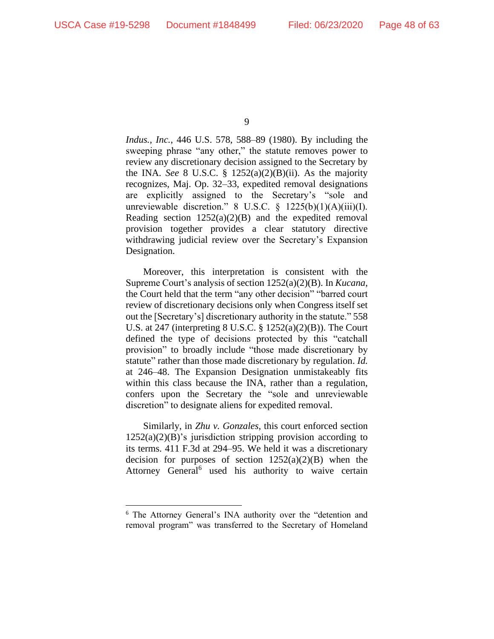*Indus., Inc.*, 446 U.S. 578, 588–89 (1980). By including the sweeping phrase "any other," the statute removes power to review any discretionary decision assigned to the Secretary by the INA. *See* 8 U.S.C. §  $1252(a)(2)(B)(ii)$ . As the majority recognizes, Maj. Op. 32–33, expedited removal designations are explicitly assigned to the Secretary's "sole and unreviewable discretion." 8 U.S.C. § 1225(b)(1)(A)(iii)(I). Reading section  $1252(a)(2)(B)$  and the expedited removal provision together provides a clear statutory directive withdrawing judicial review over the Secretary's Expansion Designation.

Moreover, this interpretation is consistent with the Supreme Court's analysis of section 1252(a)(2)(B). In *Kucana*, the Court held that the term "any other decision" "barred court review of discretionary decisions only when Congress itself set out the [Secretary's] discretionary authority in the statute." 558 U.S. at 247 (interpreting 8 U.S.C. § 1252(a)(2)(B)). The Court defined the type of decisions protected by this "catchall provision" to broadly include "those made discretionary by statute" rather than those made discretionary by regulation. *Id.* at 246–48. The Expansion Designation unmistakeably fits within this class because the INA, rather than a regulation, confers upon the Secretary the "sole and unreviewable discretion" to designate aliens for expedited removal.

Similarly, in *Zhu v. Gonzales*, this court enforced section  $1252(a)(2)(B)$ 's jurisdiction stripping provision according to its terms. 411 F.3d at 294–95. We held it was a discretionary decision for purposes of section  $1252(a)(2)(B)$  when the Attorney General<sup>6</sup> used his authority to waive certain

<sup>9</sup>

<sup>6</sup> The Attorney General's INA authority over the "detention and removal program" was transferred to the Secretary of Homeland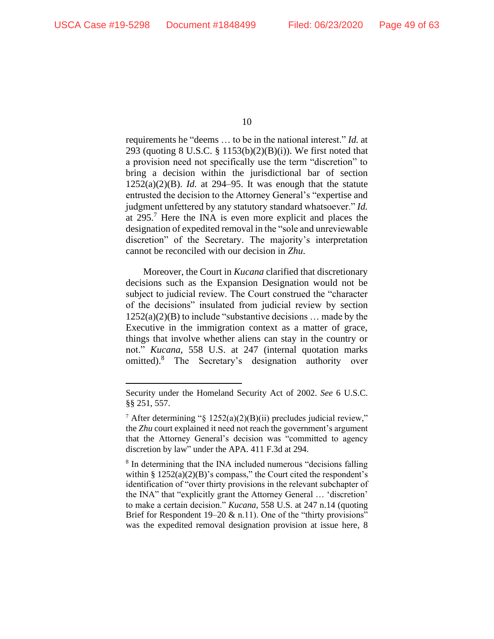requirements he "deems … to be in the national interest." *Id.* at 293 (quoting 8 U.S.C. § 1153(b)(2)(B)(i)). We first noted that a provision need not specifically use the term "discretion" to bring a decision within the jurisdictional bar of section  $1252(a)(2)(B)$ . *Id.* at 294–95. It was enough that the statute entrusted the decision to the Attorney General's "expertise and judgment unfettered by any statutory standard whatsoever." *Id.* at 295.<sup>7</sup> Here the INA is even more explicit and places the designation of expedited removal in the "sole and unreviewable discretion" of the Secretary. The majority's interpretation cannot be reconciled with our decision in *Zhu*.

Moreover, the Court in *Kucana* clarified that discretionary decisions such as the Expansion Designation would not be subject to judicial review. The Court construed the "character of the decisions" insulated from judicial review by section  $1252(a)(2)(B)$  to include "substantive decisions ... made by the Executive in the immigration context as a matter of grace, things that involve whether aliens can stay in the country or not." *Kucana*, 558 U.S. at 247 (internal quotation marks omitted).<sup>8</sup> The Secretary's designation authority over

Security under the Homeland Security Act of 2002. *See* 6 U.S.C. §§ 251, 557.

<sup>&</sup>lt;sup>7</sup> After determining "§  $1252(a)(2)(B)(ii)$  precludes judicial review," the *Zhu* court explained it need not reach the government's argument that the Attorney General's decision was "committed to agency discretion by law" under the APA. 411 F.3d at 294.

<sup>&</sup>lt;sup>8</sup> In determining that the INA included numerous "decisions falling within  $\S 1252(a)(2)(B)$ 's compass," the Court cited the respondent's identification of "over thirty provisions in the relevant subchapter of the INA" that "explicitly grant the Attorney General … 'discretion' to make a certain decision." *Kucana*, 558 U.S. at 247 n.14 (quoting Brief for Respondent 19–20  $\&$  n.11). One of the "thirty provisions" was the expedited removal designation provision at issue here, 8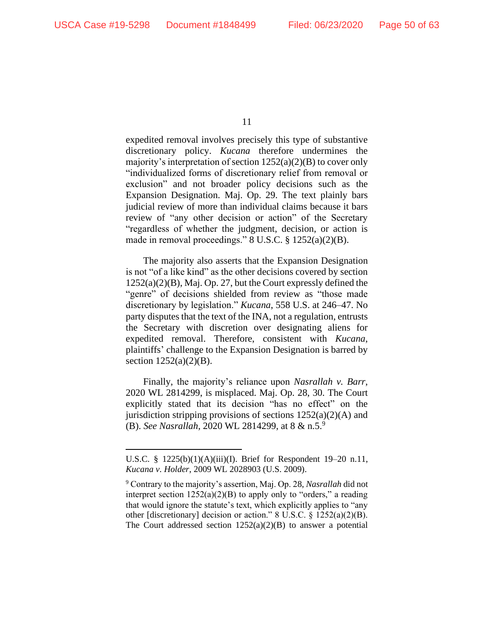expedited removal involves precisely this type of substantive discretionary policy. *Kucana* therefore undermines the majority's interpretation of section 1252(a)(2)(B) to cover only "individualized forms of discretionary relief from removal or exclusion" and not broader policy decisions such as the Expansion Designation. Maj. Op. 29. The text plainly bars judicial review of more than individual claims because it bars review of "any other decision or action" of the Secretary "regardless of whether the judgment, decision, or action is made in removal proceedings." 8 U.S.C. § 1252(a)(2)(B).

The majority also asserts that the Expansion Designation is not "of a like kind" as the other decisions covered by section 1252(a)(2)(B), Maj. Op. 27, but the Court expressly defined the "genre" of decisions shielded from review as "those made discretionary by legislation." *Kucana*, 558 U.S. at 246–47. No party disputes that the text of the INA, not a regulation, entrusts the Secretary with discretion over designating aliens for expedited removal. Therefore, consistent with *Kucana*, plaintiffs' challenge to the Expansion Designation is barred by section 1252(a)(2)(B).

Finally, the majority's reliance upon *Nasrallah v. Barr*, 2020 WL 2814299, is misplaced. Maj. Op. 28, 30. The Court explicitly stated that its decision "has no effect" on the jurisdiction stripping provisions of sections  $1252(a)(2)(A)$  and (B). *See Nasrallah*, 2020 WL 2814299, at 8 & n.5.<sup>9</sup>

<sup>11</sup>

U.S.C. § 1225(b)(1)(A)(iii)(I). Brief for Respondent 19–20 n.11, *Kucana v. Holder*, 2009 WL 2028903 (U.S. 2009).

<sup>9</sup> Contrary to the majority's assertion, Maj. Op. 28, *Nasrallah* did not interpret section  $1252(a)(2)(B)$  to apply only to "orders," a reading that would ignore the statute's text, which explicitly applies to "any other [discretionary] decision or action." 8 U.S.C. § 1252(a)(2)(B). The Court addressed section  $1252(a)(2)(B)$  to answer a potential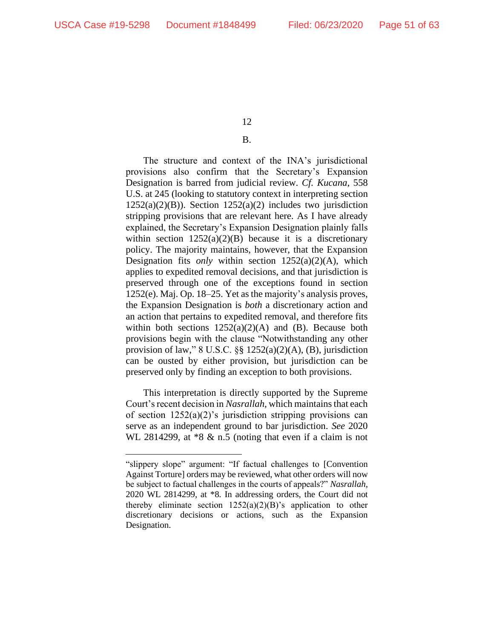# B.

The structure and context of the INA's jurisdictional provisions also confirm that the Secretary's Expansion Designation is barred from judicial review. *Cf. Kucana*, 558 U.S. at 245 (looking to statutory context in interpreting section  $1252(a)(2)(B)$ ). Section  $1252(a)(2)$  includes two jurisdiction stripping provisions that are relevant here. As I have already explained, the Secretary's Expansion Designation plainly falls within section  $1252(a)(2)(B)$  because it is a discretionary policy. The majority maintains, however, that the Expansion Designation fits *only* within section 1252(a)(2)(A), which applies to expedited removal decisions, and that jurisdiction is preserved through one of the exceptions found in section 1252(e). Maj. Op. 18–25. Yet as the majority's analysis proves, the Expansion Designation is *both* a discretionary action and an action that pertains to expedited removal, and therefore fits within both sections  $1252(a)(2)(A)$  and (B). Because both provisions begin with the clause "Notwithstanding any other provision of law," 8 U.S.C. §§ 1252(a)(2)(A), (B), jurisdiction can be ousted by either provision, but jurisdiction can be preserved only by finding an exception to both provisions.

This interpretation is directly supported by the Supreme Court's recent decision in *Nasrallah*, which maintains that each of section  $1252(a)(2)$ 's jurisdiction stripping provisions can serve as an independent ground to bar jurisdiction. *See* 2020 WL 2814299, at  $*8 \& n.5$  (noting that even if a claim is not

<sup>&</sup>quot;slippery slope" argument: "If factual challenges to [Convention Against Torture] orders may be reviewed, what other orders will now be subject to factual challenges in the courts of appeals?" *Nasrallah*, 2020 WL 2814299, at \*8. In addressing orders, the Court did not thereby eliminate section  $1252(a)(2)(B)$ 's application to other discretionary decisions or actions, such as the Expansion Designation.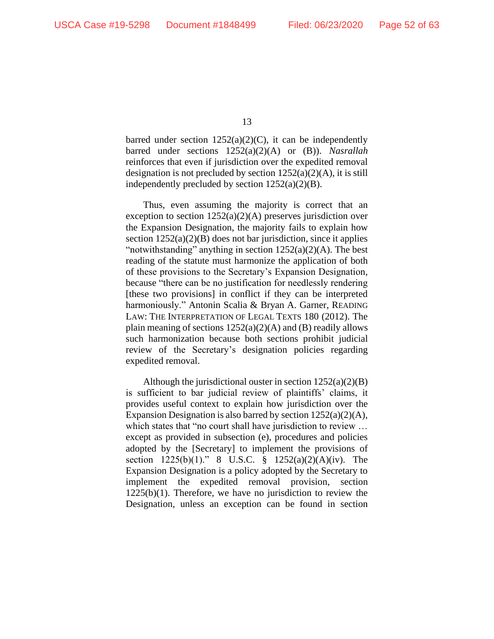barred under section  $1252(a)(2)(C)$ , it can be independently barred under sections 1252(a)(2)(A) or (B)). *Nasrallah*  reinforces that even if jurisdiction over the expedited removal designation is not precluded by section  $1252(a)(2)(A)$ , it is still independently precluded by section  $1252(a)(2)(B)$ .

Thus, even assuming the majority is correct that an exception to section 1252(a)(2)(A) preserves jurisdiction over the Expansion Designation, the majority fails to explain how section  $1252(a)(2)(B)$  does not bar jurisdiction, since it applies "notwithstanding" anything in section  $1252(a)(2)(A)$ . The best reading of the statute must harmonize the application of both of these provisions to the Secretary's Expansion Designation, because "there can be no justification for needlessly rendering [these two provisions] in conflict if they can be interpreted harmoniously." Antonin Scalia & Bryan A. Garner, READING LAW: THE INTERPRETATION OF LEGAL TEXTS 180 (2012). The plain meaning of sections  $1252(a)(2)(A)$  and (B) readily allows such harmonization because both sections prohibit judicial review of the Secretary's designation policies regarding expedited removal.

Although the jurisdictional ouster in section  $1252(a)(2)(B)$ is sufficient to bar judicial review of plaintiffs' claims, it provides useful context to explain how jurisdiction over the Expansion Designation is also barred by section 1252(a)(2)(A), which states that "no court shall have jurisdiction to review ... except as provided in subsection (e), procedures and policies adopted by the [Secretary] to implement the provisions of section 1225(b)(1)." 8 U.S.C. § 1252(a)(2)(A)(iv). The Expansion Designation is a policy adopted by the Secretary to implement the expedited removal provision, section  $1225(b)(1)$ . Therefore, we have no jurisdiction to review the Designation, unless an exception can be found in section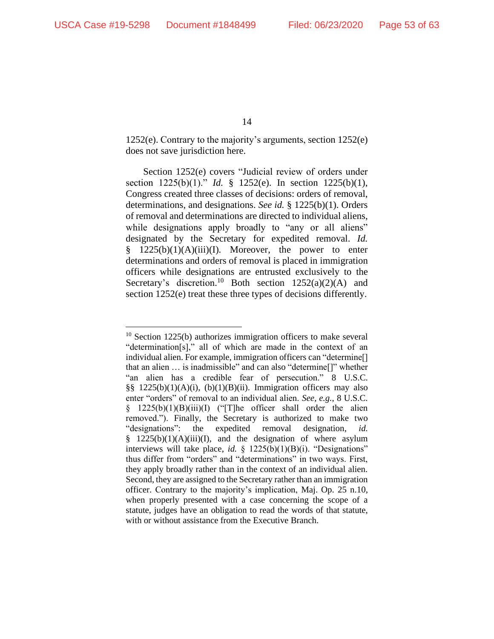1252(e). Contrary to the majority's arguments, section 1252(e) does not save jurisdiction here.

Section 1252(e) covers "Judicial review of orders under section 1225(b)(1)." *Id.* § 1252(e). In section 1225(b)(1), Congress created three classes of decisions: orders of removal, determinations, and designations. *See id.* § 1225(b)(1). Orders of removal and determinations are directed to individual aliens, while designations apply broadly to "any or all aliens" designated by the Secretary for expedited removal. *Id.*  $\S$  1225(b)(1)(A)(iii)(I). Moreover, the power to enter determinations and orders of removal is placed in immigration officers while designations are entrusted exclusively to the Secretary's discretion.<sup>10</sup> Both section  $1252(a)(2)(A)$  and section 1252(e) treat these three types of decisions differently.

<sup>&</sup>lt;sup>10</sup> Section 1225(b) authorizes immigration officers to make several "determination[s]," all of which are made in the context of an individual alien. For example, immigration officers can "determine[] that an alien … is inadmissible" and can also "determine[]" whether "an alien has a credible fear of persecution." 8 U.S.C. §§ 1225(b)(1)(A)(i), (b)(1)(B)(ii). Immigration officers may also enter "orders" of removal to an individual alien. *See, e.g.*, 8 U.S.C.  $§$  1225(b)(1)(B)(iii)(I) ("The officer shall order the alien removed."). Finally, the Secretary is authorized to make two "designations": the expedited removal designation, *id.* §  $1225(b)(1)(A)(iii)(I)$ , and the designation of where asylum interviews will take place, *id.* § 1225(b)(1)(B)(i). "Designations" thus differ from "orders" and "determinations" in two ways. First, they apply broadly rather than in the context of an individual alien. Second, they are assigned to the Secretary rather than an immigration officer. Contrary to the majority's implication, Maj. Op. 25 n.10, when properly presented with a case concerning the scope of a statute, judges have an obligation to read the words of that statute, with or without assistance from the Executive Branch.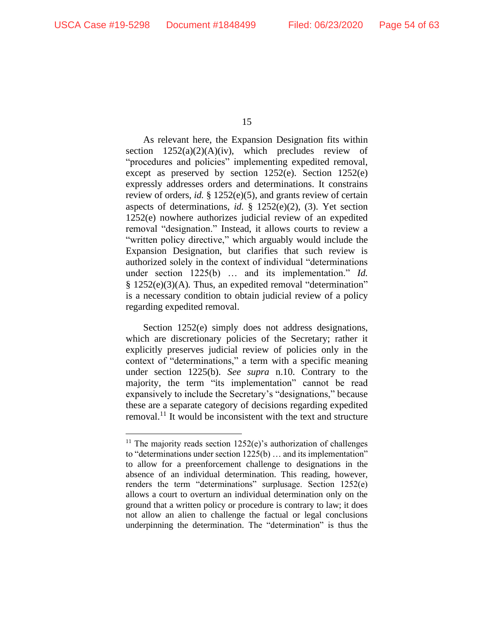As relevant here, the Expansion Designation fits within section  $1252(a)(2)(A)(iv)$ , which precludes review of "procedures and policies" implementing expedited removal, except as preserved by section 1252(e). Section 1252(e) expressly addresses orders and determinations. It constrains review of orders, *id.* § 1252(e)(5), and grants review of certain aspects of determinations, *id.* § 1252(e)(2), (3). Yet section 1252(e) nowhere authorizes judicial review of an expedited removal "designation." Instead, it allows courts to review a "written policy directive," which arguably would include the Expansion Designation, but clarifies that such review is authorized solely in the context of individual "determinations under section 1225(b) ... and its implementation." *Id.* § 1252(e)(3)(A)*.* Thus, an expedited removal "determination" is a necessary condition to obtain judicial review of a policy regarding expedited removal.

Section 1252(e) simply does not address designations, which are discretionary policies of the Secretary; rather it explicitly preserves judicial review of policies only in the context of "determinations," a term with a specific meaning under section 1225(b). *See supra* n.10. Contrary to the majority, the term "its implementation" cannot be read expansively to include the Secretary's "designations," because these are a separate category of decisions regarding expedited removal.<sup>11</sup> It would be inconsistent with the text and structure

<sup>15</sup>

<sup>&</sup>lt;sup>11</sup> The majority reads section  $1252(e)$ 's authorization of challenges to "determinations under section 1225(b) … and its implementation" to allow for a preenforcement challenge to designations in the absence of an individual determination. This reading, however, renders the term "determinations" surplusage. Section 1252(e) allows a court to overturn an individual determination only on the ground that a written policy or procedure is contrary to law; it does not allow an alien to challenge the factual or legal conclusions underpinning the determination. The "determination" is thus the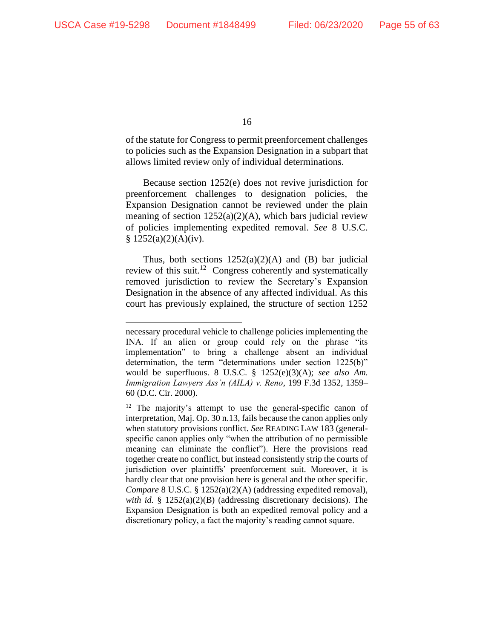of the statute for Congress to permit preenforcement challenges to policies such as the Expansion Designation in a subpart that allows limited review only of individual determinations.

Because section 1252(e) does not revive jurisdiction for preenforcement challenges to designation policies, the Expansion Designation cannot be reviewed under the plain meaning of section  $1252(a)(2)(A)$ , which bars judicial review of policies implementing expedited removal. *See* 8 U.S.C.  $§ 1252(a)(2)(A)(iv).$ 

Thus, both sections  $1252(a)(2)(A)$  and (B) bar judicial review of this suit.<sup>12</sup> Congress coherently and systematically removed jurisdiction to review the Secretary's Expansion Designation in the absence of any affected individual. As this court has previously explained, the structure of section 1252

necessary procedural vehicle to challenge policies implementing the INA. If an alien or group could rely on the phrase "its implementation" to bring a challenge absent an individual determination, the term "determinations under section 1225(b)" would be superfluous. 8 U.S.C. § 1252(e)(3)(A); *see also Am. Immigration Lawyers Ass'n (AILA) v. Reno*, 199 F.3d 1352, 1359– 60 (D.C. Cir. 2000).

 $12$  The majority's attempt to use the general-specific canon of interpretation, Maj. Op. 30 n.13, fails because the canon applies only when statutory provisions conflict. *See* READING LAW 183 (generalspecific canon applies only "when the attribution of no permissible meaning can eliminate the conflict"). Here the provisions read together create no conflict, but instead consistently strip the courts of jurisdiction over plaintiffs' preenforcement suit. Moreover, it is hardly clear that one provision here is general and the other specific. *Compare* 8 U.S.C. § 1252(a)(2)(A) (addressing expedited removal), *with id.* § 1252(a)(2)(B) (addressing discretionary decisions). The Expansion Designation is both an expedited removal policy and a discretionary policy, a fact the majority's reading cannot square.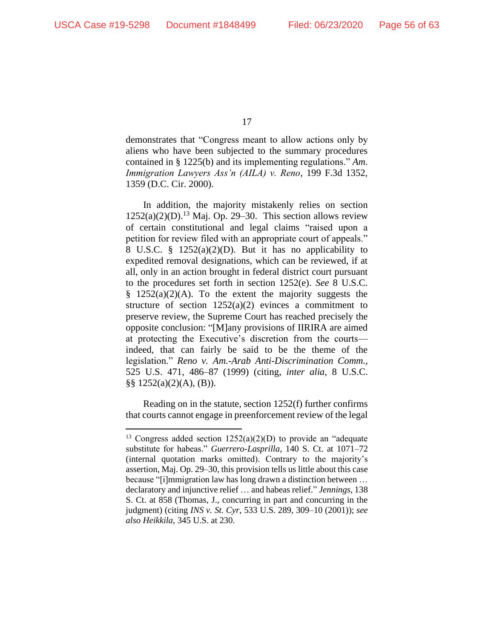demonstrates that "Congress meant to allow actions only by aliens who have been subjected to the summary procedures contained in § 1225(b) and its implementing regulations." *Am. Immigration Lawyers Ass'n (AILA) v. Reno*, 199 F.3d 1352, 1359 (D.C. Cir. 2000).

In addition, the majority mistakenly relies on section  $1252(a)(2)(D).<sup>13</sup>$  Maj. Op. 29–30. This section allows review of certain constitutional and legal claims "raised upon a petition for review filed with an appropriate court of appeals." 8 U.S.C. § 1252(a)(2)(D). But it has no applicability to expedited removal designations, which can be reviewed, if at all, only in an action brought in federal district court pursuant to the procedures set forth in section 1252(e). *See* 8 U.S.C.  $§$  1252(a)(2)(A). To the extent the majority suggests the structure of section  $1252(a)(2)$  evinces a commitment to preserve review, the Supreme Court has reached precisely the opposite conclusion: "[M]any provisions of IIRIRA are aimed at protecting the Executive's discretion from the courts indeed, that can fairly be said to be the theme of the legislation." *Reno v. Am.-Arab Anti-Discrimination Comm.*, 525 U.S. 471, 486–87 (1999) (citing, *inter alia*, 8 U.S.C. §§ 1252(a)(2)(A), (B)).

Reading on in the statute, section 1252(f) further confirms that courts cannot engage in preenforcement review of the legal

 $13$  Congress added section  $1252(a)(2)(D)$  to provide an "adequate substitute for habeas." *Guerrero-Lasprilla*, 140 S. Ct. at 1071–72 (internal quotation marks omitted). Contrary to the majority's assertion, Maj. Op. 29–30, this provision tells us little about this case because "[i]mmigration law has long drawn a distinction between … declaratory and injunctive relief … and habeas relief." *Jennings*, 138 S. Ct. at 858 (Thomas, J., concurring in part and concurring in the judgment) (citing *INS v. St. Cyr*, 533 U.S. 289, 309–10 (2001)); *see also Heikkila*, 345 U.S. at 230.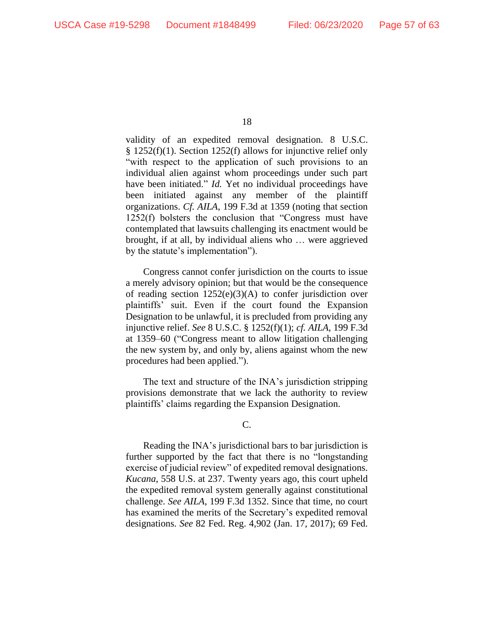validity of an expedited removal designation. 8 U.S.C. § 1252(f)(1). Section 1252(f) allows for injunctive relief only "with respect to the application of such provisions to an individual alien against whom proceedings under such part have been initiated." *Id.* Yet no individual proceedings have been initiated against any member of the plaintiff organizations. *Cf. AILA*, 199 F.3d at 1359 (noting that section 1252(f) bolsters the conclusion that "Congress must have contemplated that lawsuits challenging its enactment would be brought, if at all, by individual aliens who … were aggrieved by the statute's implementation").

Congress cannot confer jurisdiction on the courts to issue a merely advisory opinion; but that would be the consequence of reading section  $1252(e)(3)(A)$  to confer jurisdiction over plaintiffs' suit. Even if the court found the Expansion Designation to be unlawful, it is precluded from providing any injunctive relief. *See* 8 U.S.C. § 1252(f)(1); *cf. AILA*, 199 F.3d at 1359–60 ("Congress meant to allow litigation challenging the new system by, and only by, aliens against whom the new procedures had been applied.").

The text and structure of the INA's jurisdiction stripping provisions demonstrate that we lack the authority to review plaintiffs' claims regarding the Expansion Designation.

C.

Reading the INA's jurisdictional bars to bar jurisdiction is further supported by the fact that there is no "longstanding exercise of judicial review" of expedited removal designations. *Kucana*, 558 U.S. at 237. Twenty years ago, this court upheld the expedited removal system generally against constitutional challenge. *See AILA*, 199 F.3d 1352. Since that time, no court has examined the merits of the Secretary's expedited removal designations. *See* 82 Fed. Reg. 4,902 (Jan. 17, 2017); 69 Fed.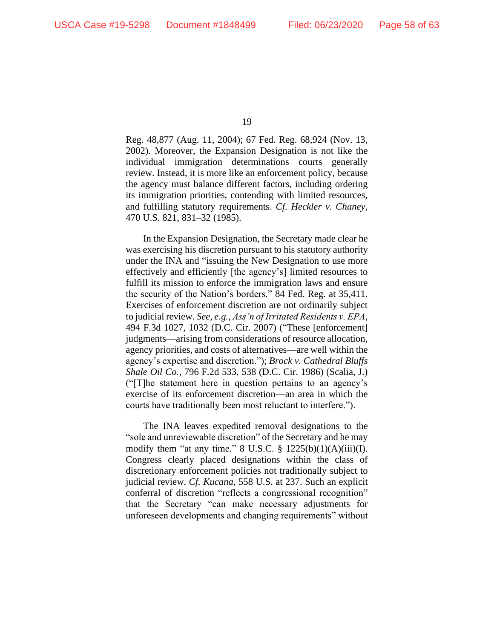Reg. 48,877 (Aug. 11, 2004); 67 Fed. Reg. 68,924 (Nov. 13, 2002). Moreover, the Expansion Designation is not like the individual immigration determinations courts generally review. Instead, it is more like an enforcement policy, because the agency must balance different factors, including ordering its immigration priorities, contending with limited resources, and fulfilling statutory requirements. *Cf*. *Heckler v. Chaney*, 470 U.S. 821, 831–32 (1985).

In the Expansion Designation, the Secretary made clear he was exercising his discretion pursuant to his statutory authority under the INA and "issuing the New Designation to use more effectively and efficiently [the agency's] limited resources to fulfill its mission to enforce the immigration laws and ensure the security of the Nation's borders." 84 Fed. Reg. at 35,411. Exercises of enforcement discretion are not ordinarily subject to judicial review. *See, e.g.*, *Ass'n of Irritated Residents v. EPA*, 494 F.3d 1027, 1032 (D.C. Cir. 2007) ("These [enforcement] judgments—arising from considerations of resource allocation, agency priorities, and costs of alternatives—are well within the agency's expertise and discretion."); *Brock v. Cathedral Bluffs Shale Oil Co.*, 796 F.2d 533, 538 (D.C. Cir. 1986) (Scalia, J.) ("[T]he statement here in question pertains to an agency's exercise of its enforcement discretion—an area in which the courts have traditionally been most reluctant to interfere.").

The INA leaves expedited removal designations to the "sole and unreviewable discretion" of the Secretary and he may modify them "at any time."  $8 \text{ U.S.C. }$  $\frac{6}{9} \frac{1225(b)(1)(A)(iii)(I)}{I}.$ Congress clearly placed designations within the class of discretionary enforcement policies not traditionally subject to judicial review. *Cf. Kucana*, 558 U.S. at 237. Such an explicit conferral of discretion "reflects a congressional recognition" that the Secretary "can make necessary adjustments for unforeseen developments and changing requirements" without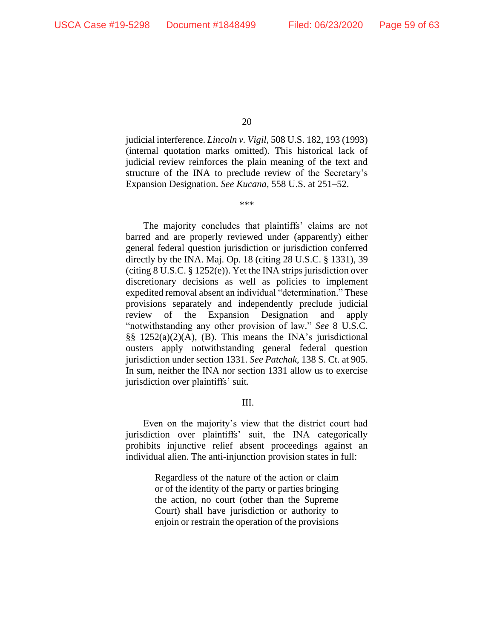judicial interference. *Lincoln v. Vigil*, 508 U.S. 182, 193 (1993) (internal quotation marks omitted). This historical lack of judicial review reinforces the plain meaning of the text and structure of the INA to preclude review of the Secretary's Expansion Designation. *See Kucana*, 558 U.S. at 251–52.

\*\*\*

The majority concludes that plaintiffs' claims are not barred and are properly reviewed under (apparently) either general federal question jurisdiction or jurisdiction conferred directly by the INA. Maj. Op. 18 (citing 28 U.S.C. § 1331), 39 (citing 8 U.S.C. § 1252(e)). Yet the INA strips jurisdiction over discretionary decisions as well as policies to implement expedited removal absent an individual "determination." These provisions separately and independently preclude judicial review of the Expansion Designation and apply "notwithstanding any other provision of law." *See* 8 U.S.C. §§ 1252(a)(2)(A), (B). This means the INA's jurisdictional ousters apply notwithstanding general federal question jurisdiction under section 1331. *See Patchak*, 138 S. Ct. at 905. In sum, neither the INA nor section 1331 allow us to exercise jurisdiction over plaintiffs' suit.

III.

Even on the majority's view that the district court had jurisdiction over plaintiffs' suit, the INA categorically prohibits injunctive relief absent proceedings against an individual alien. The anti-injunction provision states in full:

> Regardless of the nature of the action or claim or of the identity of the party or parties bringing the action, no court (other than the Supreme Court) shall have jurisdiction or authority to enjoin or restrain the operation of the provisions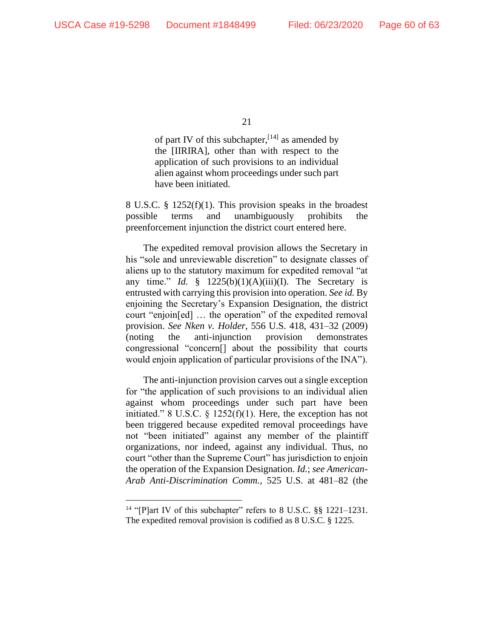of part IV of this subchapter,  $[14]$  as amended by the [IIRIRA], other than with respect to the application of such provisions to an individual alien against whom proceedings under such part have been initiated.

8 U.S.C. § 1252(f)(1). This provision speaks in the broadest possible terms and unambiguously prohibits the preenforcement injunction the district court entered here.

The expedited removal provision allows the Secretary in his "sole and unreviewable discretion" to designate classes of aliens up to the statutory maximum for expedited removal "at any time." *Id.* §  $1225(b)(1)(A)(iii)(I)$ . The Secretary is entrusted with carrying this provision into operation. *See id.* By enjoining the Secretary's Expansion Designation, the district court "enjoin[ed] … the operation" of the expedited removal provision. *See Nken v. Holder*, 556 U.S. 418, 431–32 (2009) (noting the anti-injunction provision demonstrates congressional "concern[] about the possibility that courts would enjoin application of particular provisions of the INA").

The anti-injunction provision carves out a single exception for "the application of such provisions to an individual alien against whom proceedings under such part have been initiated." 8 U.S.C.  $\S$  1252(f)(1). Here, the exception has not been triggered because expedited removal proceedings have not "been initiated" against any member of the plaintiff organizations, nor indeed, against any individual. Thus, no court "other than the Supreme Court" has jurisdiction to enjoin the operation of the Expansion Designation. *Id.*; *see American-Arab Anti-Discrimination Comm.*, 525 U.S. at 481–82 (the

<sup>&</sup>lt;sup>14</sup> "[P]art IV of this subchapter" refers to 8 U.S.C. §§ 1221-1231. The expedited removal provision is codified as 8 U.S.C. § 1225.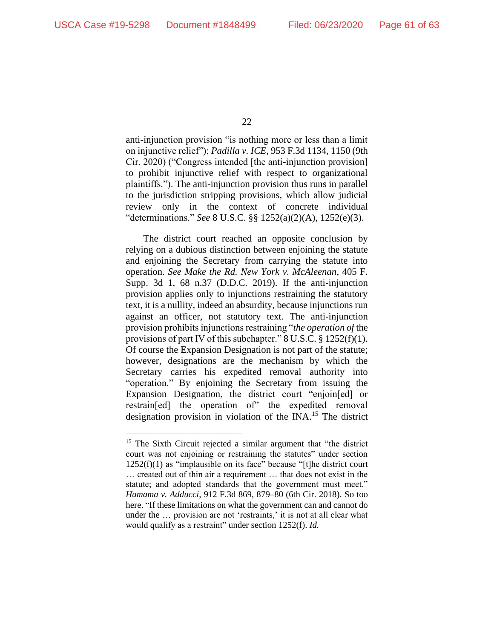anti-injunction provision "is nothing more or less than a limit on injunctive relief"); *Padilla v. ICE*, 953 F.3d 1134, 1150 (9th Cir. 2020) ("Congress intended [the anti-injunction provision] to prohibit injunctive relief with respect to organizational plaintiffs."). The anti-injunction provision thus runs in parallel to the jurisdiction stripping provisions, which allow judicial review only in the context of concrete individual "determinations." *See* 8 U.S.C. §§ 1252(a)(2)(A), 1252(e)(3).

The district court reached an opposite conclusion by relying on a dubious distinction between enjoining the statute and enjoining the Secretary from carrying the statute into operation. *See Make the Rd. New York v. McAleenan*, 405 F. Supp. 3d 1, 68 n.37 (D.D.C. 2019). If the anti-injunction provision applies only to injunctions restraining the statutory text, it is a nullity, indeed an absurdity, because injunctions run against an officer, not statutory text. The anti-injunction provision prohibits injunctions restraining "*the operation of* the provisions of part IV of this subchapter." 8 U.S.C. § 1252(f)(1). Of course the Expansion Designation is not part of the statute; however, designations are the mechanism by which the Secretary carries his expedited removal authority into "operation." By enjoining the Secretary from issuing the Expansion Designation, the district court "enjoin[ed] or restrain[ed] the operation of" the expedited removal designation provision in violation of the INA. <sup>15</sup> The district

<sup>&</sup>lt;sup>15</sup> The Sixth Circuit rejected a similar argument that "the district" court was not enjoining or restraining the statutes" under section 1252(f)(1) as "implausible on its face" because "[t]he district court … created out of thin air a requirement … that does not exist in the statute; and adopted standards that the government must meet." *Hamama v. Adducci*, 912 F.3d 869, 879–80 (6th Cir. 2018). So too here. "If these limitations on what the government can and cannot do under the … provision are not 'restraints,' it is not at all clear what would qualify as a restraint" under section 1252(f). *Id.*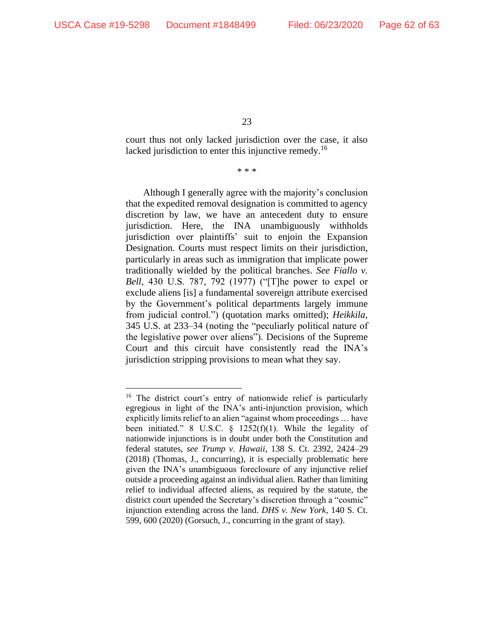court thus not only lacked jurisdiction over the case, it also lacked jurisdiction to enter this injunctive remedy.<sup>16</sup>

\* \* \*

Although I generally agree with the majority's conclusion that the expedited removal designation is committed to agency discretion by law, we have an antecedent duty to ensure jurisdiction. Here, the INA unambiguously withholds jurisdiction over plaintiffs' suit to enjoin the Expansion Designation. Courts must respect limits on their jurisdiction, particularly in areas such as immigration that implicate power traditionally wielded by the political branches. *See Fiallo v. Bell*, 430 U.S. 787, 792 (1977) ("[T]he power to expel or exclude aliens [is] a fundamental sovereign attribute exercised by the Government's political departments largely immune from judicial control.") (quotation marks omitted); *Heikkila*, 345 U.S. at 233–34 (noting the "peculiarly political nature of the legislative power over aliens"). Decisions of the Supreme Court and this circuit have consistently read the INA's jurisdiction stripping provisions to mean what they say.

<sup>&</sup>lt;sup>16</sup> The district court's entry of nationwide relief is particularly egregious in light of the INA's anti-injunction provision, which explicitly limits relief to an alien "against whom proceedings … have been initiated." 8 U.S.C.  $\S$  1252(f)(1). While the legality of nationwide injunctions is in doubt under both the Constitution and federal statutes, *see Trump v. Hawaii*, 138 S. Ct. 2392, 2424–29 (2018) (Thomas, J., concurring), it is especially problematic here given the INA's unambiguous foreclosure of any injunctive relief outside a proceeding against an individual alien. Rather than limiting relief to individual affected aliens, as required by the statute, the district court upended the Secretary's discretion through a "cosmic" injunction extending across the land. *DHS v. New York*, 140 S. Ct. 599, 600 (2020) (Gorsuch, J., concurring in the grant of stay).